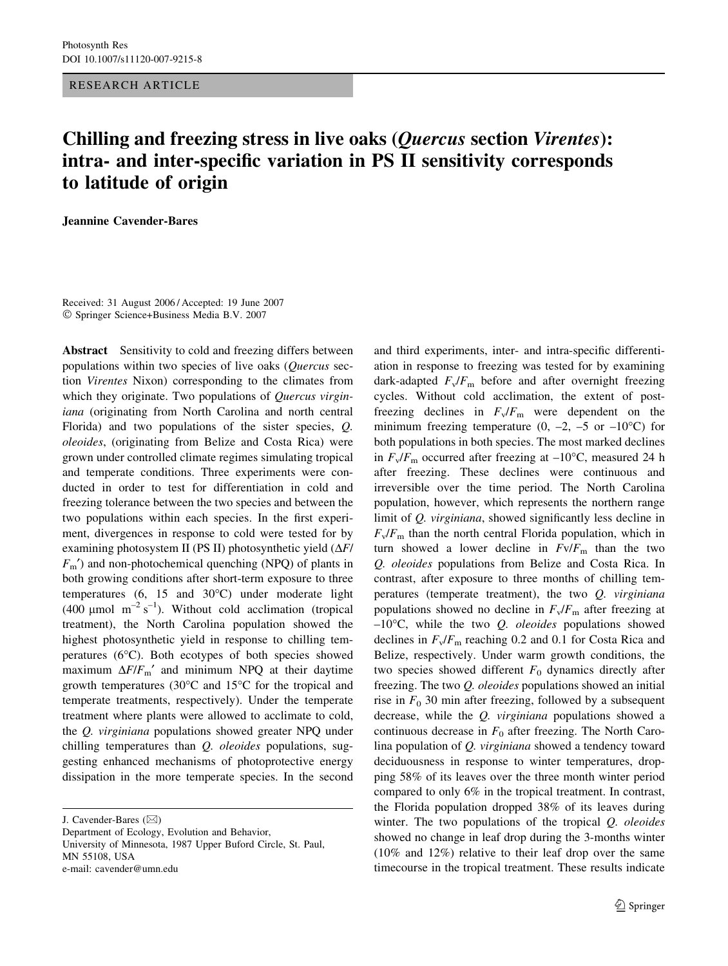RESEARCH ARTICLE

# Chilling and freezing stress in live oaks (Quercus section Virentes): intra- and inter-specific variation in PS II sensitivity corresponds to latitude of origin

Jeannine Cavender-Bares

Received: 31 August 2006 / Accepted: 19 June 2007 Springer Science+Business Media B.V. 2007

Abstract Sensitivity to cold and freezing differs between populations within two species of live oaks (Quercus section Virentes Nixon) corresponding to the climates from which they originate. Two populations of *Quercus virgin*iana (originating from North Carolina and north central Florida) and two populations of the sister species, Q. oleoides, (originating from Belize and Costa Rica) were grown under controlled climate regimes simulating tropical and temperate conditions. Three experiments were conducted in order to test for differentiation in cold and freezing tolerance between the two species and between the two populations within each species. In the first experiment, divergences in response to cold were tested for by examining photosystem II (PS II) photosynthetic yield  $(\Delta F)$  $F_m'$ ) and non-photochemical quenching (NPQ) of plants in both growing conditions after short-term exposure to three temperatures  $(6, 15 \text{ and } 30^{\circ}\text{C})$  under moderate light (400 µmol  $m^{-2} s^{-1}$ ). Without cold acclimation (tropical treatment), the North Carolina population showed the highest photosynthetic yield in response to chilling temperatures (6°C). Both ecotypes of both species showed maximum  $\Delta F/F_{\text{m}}'$  and minimum NPQ at their daytime growth temperatures (30 $^{\circ}$ C and 15 $^{\circ}$ C for the tropical and temperate treatments, respectively). Under the temperate treatment where plants were allowed to acclimate to cold, the Q. virginiana populations showed greater NPQ under chilling temperatures than Q. oleoides populations, suggesting enhanced mechanisms of photoprotective energy dissipation in the more temperate species. In the second

Department of Ecology, Evolution and Behavior,

University of Minnesota, 1987 Upper Buford Circle, St. Paul, MN 55108, USA e-mail: cavender@umn.edu

and third experiments, inter- and intra-specific differentiation in response to freezing was tested for by examining dark-adapted  $F_v/F_m$  before and after overnight freezing cycles. Without cold acclimation, the extent of postfreezing declines in  $F_v/F_m$  were dependent on the minimum freezing temperature  $(0, -2, -5 \text{ or } -10^{\circ}\text{C})$  for both populations in both species. The most marked declines in  $F_v/F_m$  occurred after freezing at  $-10$ °C, measured 24 h after freezing. These declines were continuous and irreversible over the time period. The North Carolina population, however, which represents the northern range limit of Q. virginiana, showed significantly less decline in  $F_v/F_m$  than the north central Florida population, which in turn showed a lower decline in  $Fv/F<sub>m</sub>$  than the two Q. oleoides populations from Belize and Costa Rica. In contrast, after exposure to three months of chilling temperatures (temperate treatment), the two Q. virginiana populations showed no decline in  $F_v/F_m$  after freezing at  $-10\degree$ C, while the two *Q. oleoides* populations showed declines in  $F_v/F_m$  reaching 0.2 and 0.1 for Costa Rica and Belize, respectively. Under warm growth conditions, the two species showed different  $F_0$  dynamics directly after freezing. The two Q. oleoides populations showed an initial rise in  $F_0$  30 min after freezing, followed by a subsequent decrease, while the Q. virginiana populations showed a continuous decrease in  $F_0$  after freezing. The North Carolina population of Q. virginiana showed a tendency toward deciduousness in response to winter temperatures, dropping 58% of its leaves over the three month winter period compared to only 6% in the tropical treatment. In contrast, the Florida population dropped 38% of its leaves during winter. The two populations of the tropical  $Q$ . oleoides showed no change in leaf drop during the 3-months winter (10% and 12%) relative to their leaf drop over the same timecourse in the tropical treatment. These results indicate

J. Cavender-Bares (&)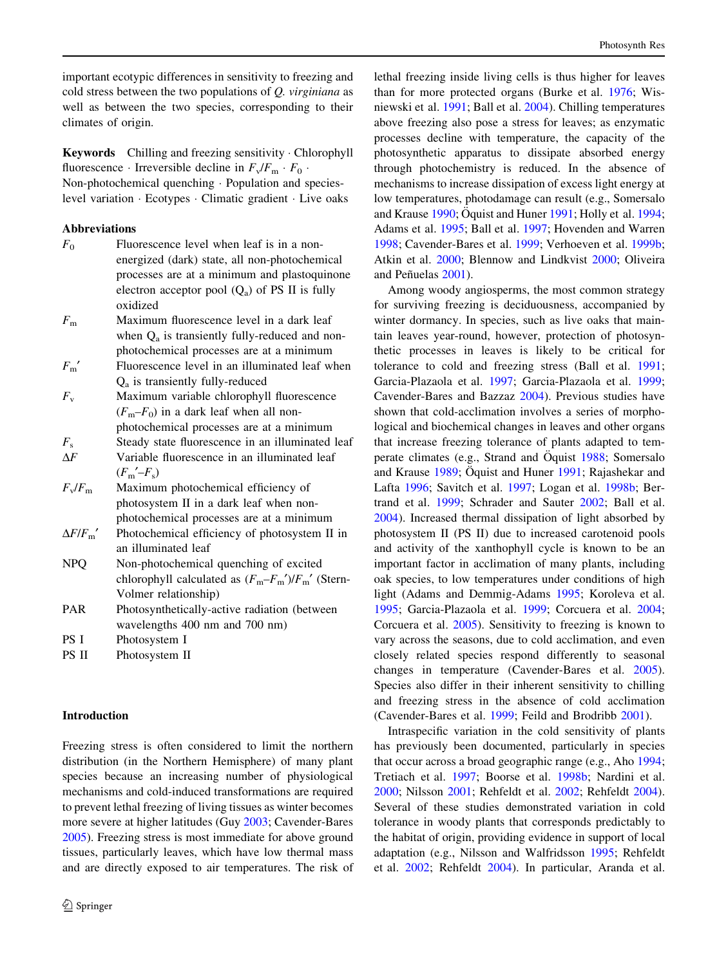important ecotypic differences in sensitivity to freezing and cold stress between the two populations of  $Q$ . *virginiana* as well as between the two species, corresponding to their climates of origin.

Keywords Chilling and freezing sensitivity · Chlorophyll fluorescence · Irreversible decline in  $F_v/F_m \cdot F_0$ . Non-photochemical quenching  $\cdot$  Population and specieslevel variation · Ecotypes · Climatic gradient · Live oaks

## Abbreviations

- $F<sub>0</sub>$  Fluorescence level when leaf is in a nonenergized (dark) state, all non-photochemical processes are at a minimum and plastoquinone electron acceptor pool  $(Q_a)$  of PS II is fully oxidized
- $F<sub>m</sub>$  Maximum fluorescence level in a dark leaf when  $Q_a$  is transiently fully-reduced and nonphotochemical processes are at a minimum
- $F_m'$  Fluorescence level in an illuminated leaf when  $Q<sub>a</sub>$  is transiently fully-reduced
- $F<sub>v</sub>$  Maximum variable chlorophyll fluorescence  $(F_m-F_0)$  in a dark leaf when all nonphotochemical processes are at a minimum
- $F<sub>s</sub>$  Steady state fluorescence in an illuminated leaf
- $\Delta F$  Variable fluorescence in an illuminated leaf  $(F_m' - F_s)$
- $F_v/F_m$  Maximum photochemical efficiency of photosystem II in a dark leaf when nonphotochemical processes are at a minimum
- $\Delta F/F_{\rm m}'$  Photochemical efficiency of photosystem II in an illuminated leaf
- NPQ Non-photochemical quenching of excited chlorophyll calculated as  $(F_m-F_m')/F_m'$  (Stern-Volmer relationship)
- PAR Photosynthetically-active radiation (between wavelengths 400 nm and 700 nm)

PS I Photosystem I

PS II Photosystem II

## Introduction

Freezing stress is often considered to limit the northern distribution (in the Northern Hemisphere) of many plant species because an increasing number of physiological mechanisms and cold-induced transformations are required to prevent lethal freezing of living tissues as winter becomes more severe at higher latitudes (Guy [2003](#page-15-0); Cavender-Bares [2005\)](#page-14-0). Freezing stress is most immediate for above ground tissues, particularly leaves, which have low thermal mass and are directly exposed to air temperatures. The risk of lethal freezing inside living cells is thus higher for leaves than for more protected organs (Burke et al. [1976;](#page-14-0) Wisniewski et al. [1991](#page-16-0); Ball et al. [2004](#page-14-0)). Chilling temperatures above freezing also pose a stress for leaves; as enzymatic processes decline with temperature, the capacity of the photosynthetic apparatus to dissipate absorbed energy through photochemistry is reduced. In the absence of mechanisms to increase dissipation of excess light energy at low temperatures, photodamage can result (e.g., Somersalo and Krause  $1990$ ; Öquist and Huner  $1991$ ; Holly et al.  $1994$ ; Adams et al. [1995](#page-14-0); Ball et al. [1997;](#page-14-0) Hovenden and Warren [1998](#page-15-0); Cavender-Bares et al. [1999;](#page-15-0) Verhoeven et al. [1999b](#page-16-0); Atkin et al. [2000](#page-14-0); Blennow and Lindkvist [2000;](#page-14-0) Oliveira and Peñuelas [2001\)](#page-16-0).

Among woody angiosperms, the most common strategy for surviving freezing is deciduousness, accompanied by winter dormancy. In species, such as live oaks that maintain leaves year-round, however, protection of photosynthetic processes in leaves is likely to be critical for tolerance to cold and freezing stress (Ball et al. [1991](#page-14-0); Garcia-Plazaola et al. [1997](#page-15-0); Garcia-Plazaola et al. [1999](#page-15-0); Cavender-Bares and Bazzaz [2004](#page-15-0)). Previous studies have shown that cold-acclimation involves a series of morphological and biochemical changes in leaves and other organs that increase freezing tolerance of plants adapted to tem-perate climates (e.g., Strand and Öquist [1988](#page-16-0); Somersalo and Krause [1989](#page-16-0); Öquist and Huner [1991](#page-16-0); Rajashekar and Lafta [1996;](#page-16-0) Savitch et al. [1997](#page-16-0); Logan et al. [1998b;](#page-15-0) Bertrand et al. [1999;](#page-14-0) Schrader and Sauter [2002;](#page-16-0) Ball et al. [2004](#page-14-0)). Increased thermal dissipation of light absorbed by photosystem II (PS II) due to increased carotenoid pools and activity of the xanthophyll cycle is known to be an important factor in acclimation of many plants, including oak species, to low temperatures under conditions of high light (Adams and Demmig-Adams [1995;](#page-14-0) Koroleva et al. [1995](#page-15-0); Garcia-Plazaola et al. [1999](#page-15-0); Corcuera et al. [2004](#page-15-0); Corcuera et al. [2005\)](#page-15-0). Sensitivity to freezing is known to vary across the seasons, due to cold acclimation, and even closely related species respond differently to seasonal changes in temperature (Cavender-Bares et al. [2005](#page-15-0)). Species also differ in their inherent sensitivity to chilling and freezing stress in the absence of cold acclimation (Cavender-Bares et al. [1999;](#page-15-0) Feild and Brodribb [2001](#page-15-0)).

Intraspecific variation in the cold sensitivity of plants has previously been documented, particularly in species that occur across a broad geographic range (e.g., Aho [1994](#page-14-0); Tretiach et al. [1997;](#page-16-0) Boorse et al. [1998b;](#page-14-0) Nardini et al. [2000](#page-16-0); Nilsson [2001](#page-16-0); Rehfeldt et al. [2002](#page-16-0); Rehfeldt [2004](#page-16-0)). Several of these studies demonstrated variation in cold tolerance in woody plants that corresponds predictably to the habitat of origin, providing evidence in support of local adaptation (e.g., Nilsson and Walfridsson [1995;](#page-16-0) Rehfeldt et al. [2002;](#page-16-0) Rehfeldt [2004](#page-16-0)). In particular, Aranda et al.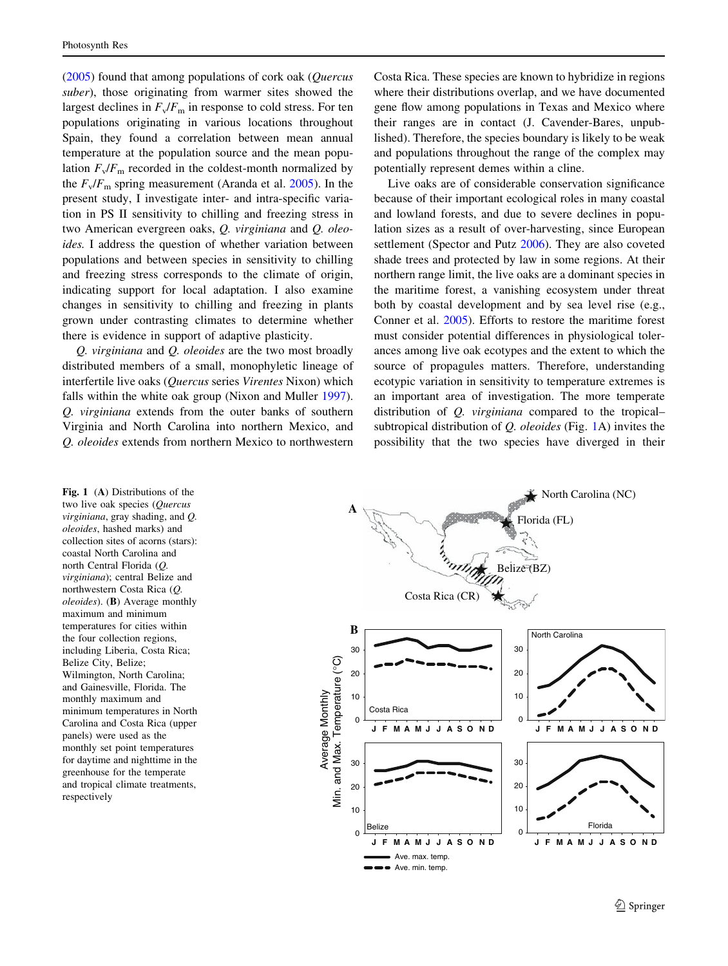<span id="page-2-0"></span>[\(2005](#page-14-0)) found that among populations of cork oak (Quercus suber), those originating from warmer sites showed the largest declines in  $F_v/F_m$  in response to cold stress. For ten populations originating in various locations throughout Spain, they found a correlation between mean annual temperature at the population source and the mean population  $F_v/F_m$  recorded in the coldest-month normalized by the  $F_v/F_m$  spring measurement (Aranda et al. [2005\)](#page-14-0). In the present study, I investigate inter- and intra-specific variation in PS II sensitivity to chilling and freezing stress in two American evergreen oaks, Q. virginiana and Q. oleoides. I address the question of whether variation between populations and between species in sensitivity to chilling and freezing stress corresponds to the climate of origin, indicating support for local adaptation. I also examine changes in sensitivity to chilling and freezing in plants grown under contrasting climates to determine whether there is evidence in support of adaptive plasticity.

Q. virginiana and Q. oleoides are the two most broadly distributed members of a small, monophyletic lineage of interfertile live oaks (Quercus series Virentes Nixon) which falls within the white oak group (Nixon and Muller [1997](#page-16-0)). Q. virginiana extends from the outer banks of southern Virginia and North Carolina into northern Mexico, and Q. oleoides extends from northern Mexico to northwestern Costa Rica. These species are known to hybridize in regions where their distributions overlap, and we have documented gene flow among populations in Texas and Mexico where their ranges are in contact (J. Cavender-Bares, unpublished). Therefore, the species boundary is likely to be weak and populations throughout the range of the complex may potentially represent demes within a cline.

Live oaks are of considerable conservation significance because of their important ecological roles in many coastal and lowland forests, and due to severe declines in population sizes as a result of over-harvesting, since European settlement (Spector and Putz [2006\)](#page-16-0). They are also coveted shade trees and protected by law in some regions. At their northern range limit, the live oaks are a dominant species in the maritime forest, a vanishing ecosystem under threat both by coastal development and by sea level rise (e.g., Conner et al. [2005](#page-15-0)). Efforts to restore the maritime forest must consider potential differences in physiological tolerances among live oak ecotypes and the extent to which the source of propagules matters. Therefore, understanding ecotypic variation in sensitivity to temperature extremes is an important area of investigation. The more temperate distribution of *Q. virginiana* compared to the tropical– subtropical distribution of  $Q$ . *oleoides* (Fig. 1A) invites the possibility that the two species have diverged in their

Fig. 1 (A) Distributions of the two live oak species (Quercus virginiana, gray shading, and Q. oleoides, hashed marks) and collection sites of acorns (stars): coastal North Carolina and north Central Florida (Q. virginiana); central Belize and northwestern Costa Rica (Q. oleoides). (B) Average monthly maximum and minimum temperatures for cities within the four collection regions, including Liberia, Costa Rica; Belize City, Belize; Wilmington, North Carolina; and Gainesville, Florida. The monthly maximum and minimum temperatures in North Carolina and Costa Rica (upper panels) were used as the monthly set point temperatures for daytime and nighttime in the greenhouse for the temperate and tropical climate treatments, respectively

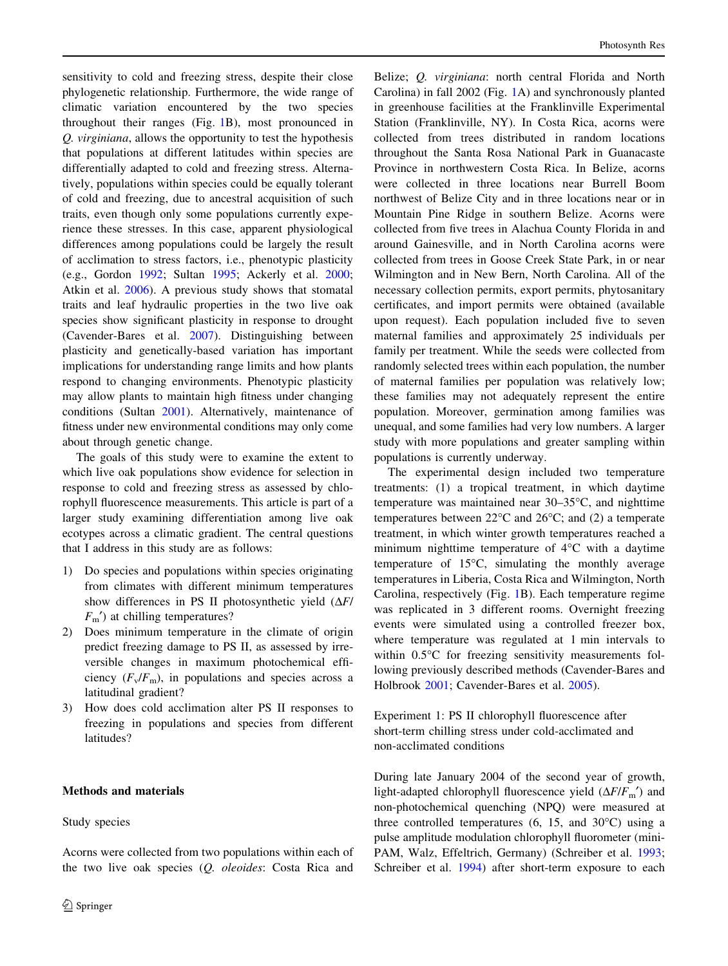sensitivity to cold and freezing stress, despite their close phylogenetic relationship. Furthermore, the wide range of climatic variation encountered by the two species throughout their ranges (Fig. [1B](#page-2-0)), most pronounced in Q. virginiana, allows the opportunity to test the hypothesis that populations at different latitudes within species are differentially adapted to cold and freezing stress. Alternatively, populations within species could be equally tolerant of cold and freezing, due to ancestral acquisition of such traits, even though only some populations currently experience these stresses. In this case, apparent physiological differences among populations could be largely the result of acclimation to stress factors, i.e., phenotypic plasticity (e.g., Gordon [1992](#page-15-0); Sultan [1995](#page-16-0); Ackerly et al. [2000](#page-14-0); Atkin et al. [2006](#page-14-0)). A previous study shows that stomatal traits and leaf hydraulic properties in the two live oak species show significant plasticity in response to drought (Cavender-Bares et al. [2007](#page-15-0)). Distinguishing between plasticity and genetically-based variation has important implications for understanding range limits and how plants respond to changing environments. Phenotypic plasticity may allow plants to maintain high fitness under changing conditions (Sultan [2001\)](#page-16-0). Alternatively, maintenance of fitness under new environmental conditions may only come about through genetic change.

The goals of this study were to examine the extent to which live oak populations show evidence for selection in response to cold and freezing stress as assessed by chlorophyll fluorescence measurements. This article is part of a larger study examining differentiation among live oak ecotypes across a climatic gradient. The central questions that I address in this study are as follows:

- 1) Do species and populations within species originating from climates with different minimum temperatures show differences in PS II photosynthetic yield  $(\Delta F)$  $F_{\rm m}$ <sup>'</sup>) at chilling temperatures?
- 2) Does minimum temperature in the climate of origin predict freezing damage to PS II, as assessed by irreversible changes in maximum photochemical efficiency  $(F_v/F_m)$ , in populations and species across a latitudinal gradient?
- 3) How does cold acclimation alter PS II responses to freezing in populations and species from different latitudes?

Acorns were collected from two populations within each of the two live oak species  $(Q.$  oleoides: Costa Rica and

# Methods and materials

# Study species

Belize: *O. virginiana*: north central Florida and North Carolina) in fall 2002 (Fig. [1](#page-2-0)A) and synchronously planted in greenhouse facilities at the Franklinville Experimental Station (Franklinville, NY). In Costa Rica, acorns were collected from trees distributed in random locations throughout the Santa Rosa National Park in Guanacaste Province in northwestern Costa Rica. In Belize, acorns were collected in three locations near Burrell Boom northwest of Belize City and in three locations near or in Mountain Pine Ridge in southern Belize. Acorns were collected from five trees in Alachua County Florida in and around Gainesville, and in North Carolina acorns were collected from trees in Goose Creek State Park, in or near Wilmington and in New Bern, North Carolina. All of the necessary collection permits, export permits, phytosanitary certificates, and import permits were obtained (available upon request). Each population included five to seven maternal families and approximately 25 individuals per family per treatment. While the seeds were collected from randomly selected trees within each population, the number of maternal families per population was relatively low; these families may not adequately represent the entire population. Moreover, germination among families was unequal, and some families had very low numbers. A larger study with more populations and greater sampling within populations is currently underway.

The experimental design included two temperature treatments: (1) a tropical treatment, in which daytime temperature was maintained near  $30-35^{\circ}$ C, and nighttime temperatures between  $22^{\circ}$ C and  $26^{\circ}$ C; and (2) a temperate treatment, in which winter growth temperatures reached a minimum nighttime temperature of  $4^{\circ}$ C with a daytime temperature of  $15^{\circ}$ C, simulating the monthly average temperatures in Liberia, Costa Rica and Wilmington, North Carolina, respectively (Fig. [1B](#page-2-0)). Each temperature regime was replicated in 3 different rooms. Overnight freezing events were simulated using a controlled freezer box, where temperature was regulated at 1 min intervals to within 0.5°C for freezing sensitivity measurements following previously described methods (Cavender-Bares and Holbrook [2001;](#page-15-0) Cavender-Bares et al. [2005](#page-15-0)).

Experiment 1: PS II chlorophyll fluorescence after short-term chilling stress under cold-acclimated and non-acclimated conditions

During late January 2004 of the second year of growth, light-adapted chlorophyll fluorescence yield  $(\Delta F/F_{\rm m}{}')$  and non-photochemical quenching (NPQ) were measured at three controlled temperatures  $(6, 15,$  and  $30^{\circ}$ C) using a pulse amplitude modulation chlorophyll fluorometer (mini-PAM, Walz, Effeltrich, Germany) (Schreiber et al. [1993](#page-16-0); Schreiber et al. [1994](#page-16-0)) after short-term exposure to each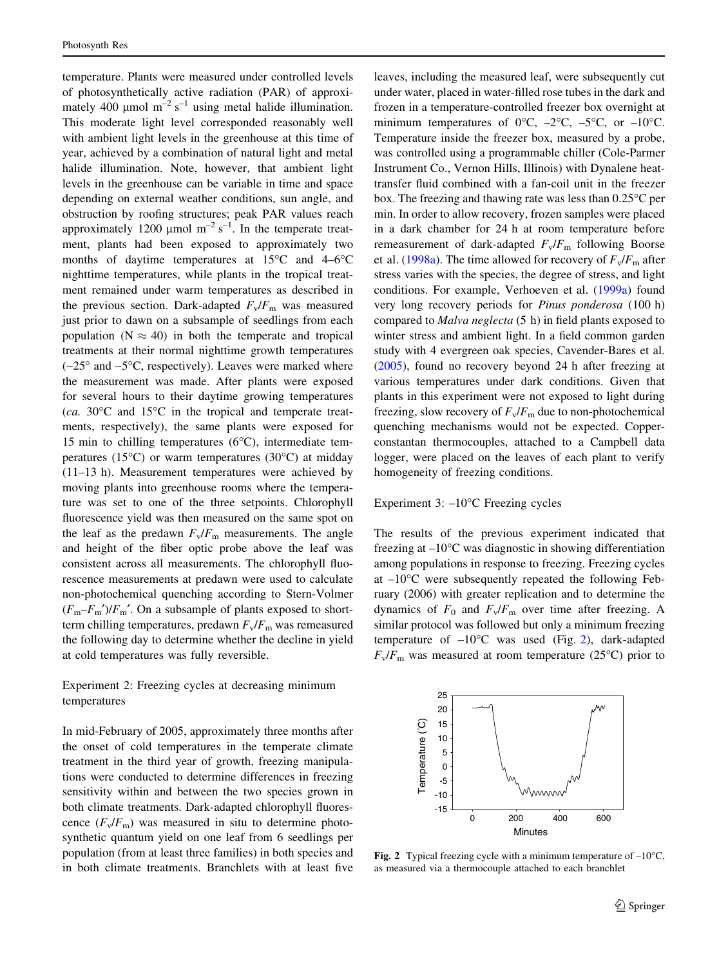temperature. Plants were measured under controlled levels of photosynthetically active radiation (PAR) of approximately 400  $\mu$ mol m<sup>-2</sup> s<sup>-1</sup> using metal halide illumination. This moderate light level corresponded reasonably well with ambient light levels in the greenhouse at this time of year, achieved by a combination of natural light and metal halide illumination. Note, however, that ambient light levels in the greenhouse can be variable in time and space depending on external weather conditions, sun angle, and obstruction by roofing structures; peak PAR values reach approximately 1200  $\mu$ mol m<sup>-2</sup> s<sup>-1</sup>. In the temperate treatment, plants had been exposed to approximately two months of daytime temperatures at  $15^{\circ}$ C and  $4-6^{\circ}$ C nighttime temperatures, while plants in the tropical treatment remained under warm temperatures as described in the previous section. Dark-adapted  $F_v/F_m$  was measured just prior to dawn on a subsample of seedlings from each population ( $N \approx 40$ ) in both the temperate and tropical treatments at their normal nighttime growth temperatures  $(-25^{\circ}$  and  $-5^{\circ}$ C, respectively). Leaves were marked where the measurement was made. After plants were exposed for several hours to their daytime growing temperatures (ca.  $30^{\circ}$ C and  $15^{\circ}$ C in the tropical and temperate treatments, respectively), the same plants were exposed for 15 min to chilling temperatures  $(6^{\circ}C)$ , intermediate temperatures (15 $\degree$ C) or warm temperatures (30 $\degree$ C) at midday (11–13 h). Measurement temperatures were achieved by moving plants into greenhouse rooms where the temperature was set to one of the three setpoints. Chlorophyll fluorescence yield was then measured on the same spot on the leaf as the predawn  $F_v/F_m$  measurements. The angle and height of the fiber optic probe above the leaf was consistent across all measurements. The chlorophyll fluorescence measurements at predawn were used to calculate non-photochemical quenching according to Stern-Volmer  $(F_m-F_m)/F_m'$ . On a subsample of plants exposed to shortterm chilling temperatures, predawn  $F_v/F_m$  was remeasured the following day to determine whether the decline in yield at cold temperatures was fully reversible.

Experiment 2: Freezing cycles at decreasing minimum temperatures

In mid-February of 2005, approximately three months after the onset of cold temperatures in the temperate climate treatment in the third year of growth, freezing manipulations were conducted to determine differences in freezing sensitivity within and between the two species grown in both climate treatments. Dark-adapted chlorophyll fluorescence  $(F_v/F_m)$  was measured in situ to determine photosynthetic quantum yield on one leaf from 6 seedlings per population (from at least three families) in both species and in both climate treatments. Branchlets with at least five leaves, including the measured leaf, were subsequently cut under water, placed in water-filled rose tubes in the dark and frozen in a temperature-controlled freezer box overnight at minimum temperatures of  $0^{\circ}C$ ,  $-2^{\circ}C$ ,  $-5^{\circ}C$ , or  $-10^{\circ}C$ . Temperature inside the freezer box, measured by a probe, was controlled using a programmable chiller (Cole-Parmer Instrument Co., Vernon Hills, Illinois) with Dynalene heattransfer fluid combined with a fan-coil unit in the freezer box. The freezing and thawing rate was less than  $0.25^{\circ}$ C per min. In order to allow recovery, frozen samples were placed in a dark chamber for 24 h at room temperature before remeasurement of dark-adapted  $F_v/F_m$  following Boorse et al. [\(1998a\)](#page-14-0). The time allowed for recovery of  $F_v/F_m$  after stress varies with the species, the degree of stress, and light conditions. For example, Verhoeven et al. ([1999a](#page-16-0)) found very long recovery periods for Pinus ponderosa (100 h) compared to Malva neglecta (5 h) in field plants exposed to winter stress and ambient light. In a field common garden study with 4 evergreen oak species, Cavender-Bares et al. [\(2005](#page-15-0)), found no recovery beyond 24 h after freezing at various temperatures under dark conditions. Given that plants in this experiment were not exposed to light during freezing, slow recovery of  $F_v/F_m$  due to non-photochemical quenching mechanisms would not be expected. Copperconstantan thermocouples, attached to a Campbell data logger, were placed on the leaves of each plant to verify homogeneity of freezing conditions.

Experiment  $3: -10^{\circ}$ C Freezing cycles

The results of the previous experiment indicated that freezing at  $-10^{\circ}$ C was diagnostic in showing differentiation among populations in response to freezing. Freezing cycles at  $-10^{\circ}$ C were subsequently repeated the following February (2006) with greater replication and to determine the dynamics of  $F_0$  and  $F_v/F_m$  over time after freezing. A similar protocol was followed but only a minimum freezing temperature of  $-10^{\circ}$ C was used (Fig. 2), dark-adapted  $F_v/F_m$  was measured at room temperature (25°C) prior to



Fig. 2 Typical freezing cycle with a minimum temperature of  $-10^{\circ}$ C, as measured via a thermocouple attached to each branchlet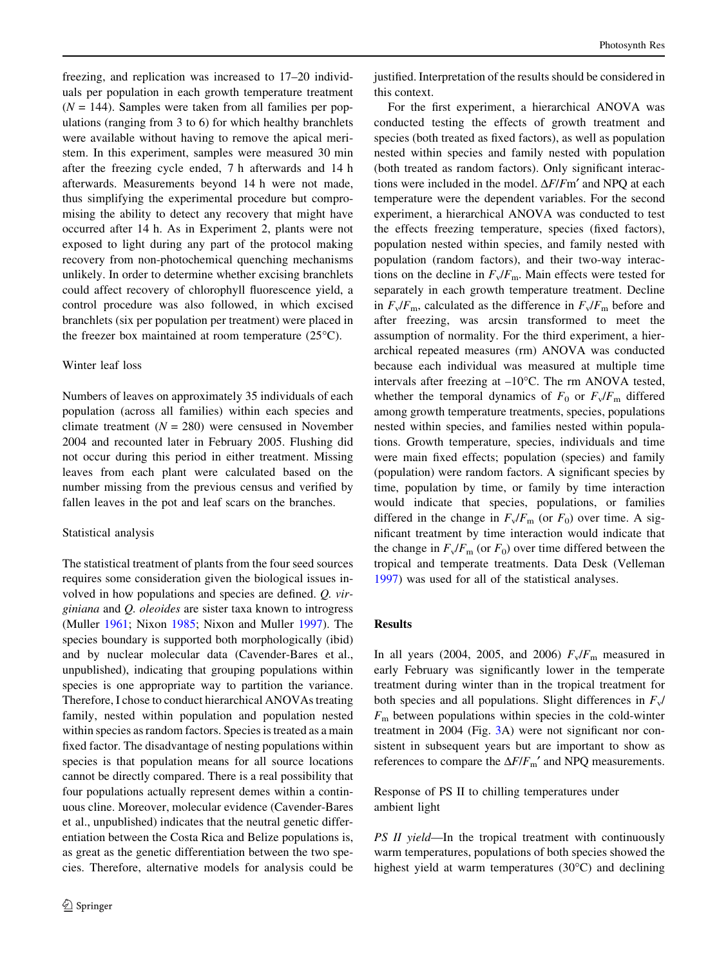freezing, and replication was increased to 17–20 individuals per population in each growth temperature treatment  $(N = 144)$ . Samples were taken from all families per populations (ranging from 3 to 6) for which healthy branchlets were available without having to remove the apical meristem. In this experiment, samples were measured 30 min after the freezing cycle ended, 7 h afterwards and 14 h afterwards. Measurements beyond 14 h were not made, thus simplifying the experimental procedure but compromising the ability to detect any recovery that might have occurred after 14 h. As in Experiment 2, plants were not exposed to light during any part of the protocol making recovery from non-photochemical quenching mechanisms unlikely. In order to determine whether excising branchlets could affect recovery of chlorophyll fluorescence yield, a control procedure was also followed, in which excised branchlets (six per population per treatment) were placed in the freezer box maintained at room temperature  $(25^{\circ}C)$ .

#### Winter leaf loss

Numbers of leaves on approximately 35 individuals of each population (across all families) within each species and climate treatment  $(N = 280)$  were censused in November 2004 and recounted later in February 2005. Flushing did not occur during this period in either treatment. Missing leaves from each plant were calculated based on the number missing from the previous census and verified by fallen leaves in the pot and leaf scars on the branches.

# Statistical analysis

The statistical treatment of plants from the four seed sources requires some consideration given the biological issues involved in how populations and species are defined. Q. virginiana and Q. oleoides are sister taxa known to introgress (Muller [1961](#page-16-0); Nixon [1985](#page-16-0); Nixon and Muller [1997](#page-16-0)). The species boundary is supported both morphologically (ibid) and by nuclear molecular data (Cavender-Bares et al., unpublished), indicating that grouping populations within species is one appropriate way to partition the variance. Therefore, I chose to conduct hierarchical ANOVAs treating family, nested within population and population nested within species as random factors. Species is treated as a main fixed factor. The disadvantage of nesting populations within species is that population means for all source locations cannot be directly compared. There is a real possibility that four populations actually represent demes within a continuous cline. Moreover, molecular evidence (Cavender-Bares et al., unpublished) indicates that the neutral genetic differentiation between the Costa Rica and Belize populations is, as great as the genetic differentiation between the two species. Therefore, alternative models for analysis could be justified. Interpretation of the results should be considered in this context.

For the first experiment, a hierarchical ANOVA was conducted testing the effects of growth treatment and species (both treated as fixed factors), as well as population nested within species and family nested with population (both treated as random factors). Only significant interactions were included in the model.  $\Delta F/Fm'$  and NPQ at each temperature were the dependent variables. For the second experiment, a hierarchical ANOVA was conducted to test the effects freezing temperature, species (fixed factors), population nested within species, and family nested with population (random factors), and their two-way interactions on the decline in  $F_v/F_m$ . Main effects were tested for separately in each growth temperature treatment. Decline in  $F_v/F_m$ , calculated as the difference in  $F_v/F_m$  before and after freezing, was arcsin transformed to meet the assumption of normality. For the third experiment, a hierarchical repeated measures (rm) ANOVA was conducted because each individual was measured at multiple time intervals after freezing at  $-10^{\circ}$ C. The rm ANOVA tested, whether the temporal dynamics of  $F_0$  or  $F_v/F_m$  differed among growth temperature treatments, species, populations nested within species, and families nested within populations. Growth temperature, species, individuals and time were main fixed effects; population (species) and family (population) were random factors. A significant species by time, population by time, or family by time interaction would indicate that species, populations, or families differed in the change in  $F_v/F_m$  (or  $F_0$ ) over time. A significant treatment by time interaction would indicate that the change in  $F_v/F_m$  (or  $F_0$ ) over time differed between the tropical and temperate treatments. Data Desk (Velleman [1997](#page-16-0)) was used for all of the statistical analyses.

#### Results

In all years (2004, 2005, and 2006)  $F_v/F_m$  measured in early February was significantly lower in the temperate treatment during winter than in the tropical treatment for both species and all populations. Slight differences in  $F_v/$  $F<sub>m</sub>$  between populations within species in the cold-winter treatment in 2004 (Fig. [3](#page-6-0)A) were not significant nor consistent in subsequent years but are important to show as references to compare the  $\Delta F/F_{\rm m}^{\prime}$  and NPQ measurements.

Response of PS II to chilling temperatures under ambient light

PS II yield—In the tropical treatment with continuously warm temperatures, populations of both species showed the highest yield at warm temperatures (30°C) and declining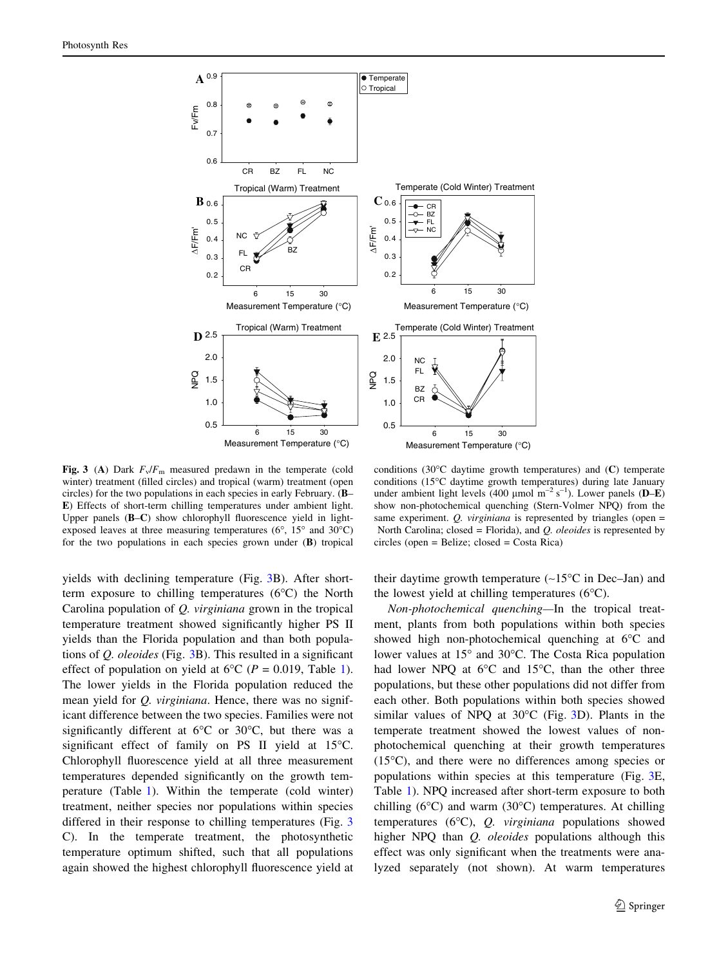<span id="page-6-0"></span>

Fig. 3 (A) Dark  $F_v/F_m$  measured predawn in the temperate (cold winter) treatment (filled circles) and tropical (warm) treatment (open circles) for the two populations in each species in early February. (B– E) Effects of short-term chilling temperatures under ambient light. Upper panels (B–C) show chlorophyll fluorescence yield in lightexposed leaves at three measuring temperatures  $(6^{\circ}, 15^{\circ}$  and  $30^{\circ}$ C) for the two populations in each species grown under (B) tropical

yields with declining temperature (Fig. 3B). After shortterm exposure to chilling temperatures  $(6^{\circ}C)$  the North Carolina population of Q. virginiana grown in the tropical temperature treatment showed significantly higher PS II yields than the Florida population and than both populations of Q. oleoides (Fig. 3B). This resulted in a significant effect of population on yield at  $6^{\circ}C$  ( $P = 0.019$  $P = 0.019$  $P = 0.019$ , Table 1). The lower yields in the Florida population reduced the mean yield for *Q. virginiana*. Hence, there was no significant difference between the two species. Families were not significantly different at  $6^{\circ}$ C or  $30^{\circ}$ C, but there was a significant effect of family on PS II yield at  $15^{\circ}$ C. Chlorophyll fluorescence yield at all three measurement temperatures depended significantly on the growth temperature (Table [1](#page-7-0)). Within the temperate (cold winter) treatment, neither species nor populations within species differed in their response to chilling temperatures (Fig. 3 C). In the temperate treatment, the photosynthetic temperature optimum shifted, such that all populations again showed the highest chlorophyll fluorescence yield at

conditions (30 $\rm ^{o}C$  daytime growth temperatures) and (C) temperate conditions (15°C daytime growth temperatures) during late January under ambient light levels (400 µmol  $m^{-2}$  s<sup>-1</sup>). Lower panels (**D**–**E**) show non-photochemical quenching (Stern-Volmer NPQ) from the same experiment.  $Q$ . *virginiana* is represented by triangles (open = North Carolina; closed = Florida), and  $Q$ . *oleoides* is represented by circles (open = Belize; closed = Costa Rica)

their daytime growth temperature  $(-15^{\circ}C)$  in Dec-Jan) and the lowest yield at chilling temperatures  $(6^{\circ}C)$ .

Non-photochemical quenching—In the tropical treatment, plants from both populations within both species showed high non-photochemical quenching at  $6^{\circ}$ C and lower values at 15° and 30°C. The Costa Rica population had lower NPQ at  $6^{\circ}$ C and  $15^{\circ}$ C, than the other three populations, but these other populations did not differ from each other. Both populations within both species showed similar values of NPQ at  $30^{\circ}$ C (Fig. 3D). Plants in the temperate treatment showed the lowest values of nonphotochemical quenching at their growth temperatures (15°C), and there were no differences among species or populations within species at this temperature (Fig. 3E, Table [1](#page-7-0)). NPQ increased after short-term exposure to both chilling  $(6^{\circ}C)$  and warm  $(30^{\circ}C)$  temperatures. At chilling temperatures  $(6^{\circ}C)$ , Q. virginiana populations showed higher NPQ than *Q. oleoides* populations although this effect was only significant when the treatments were analyzed separately (not shown). At warm temperatures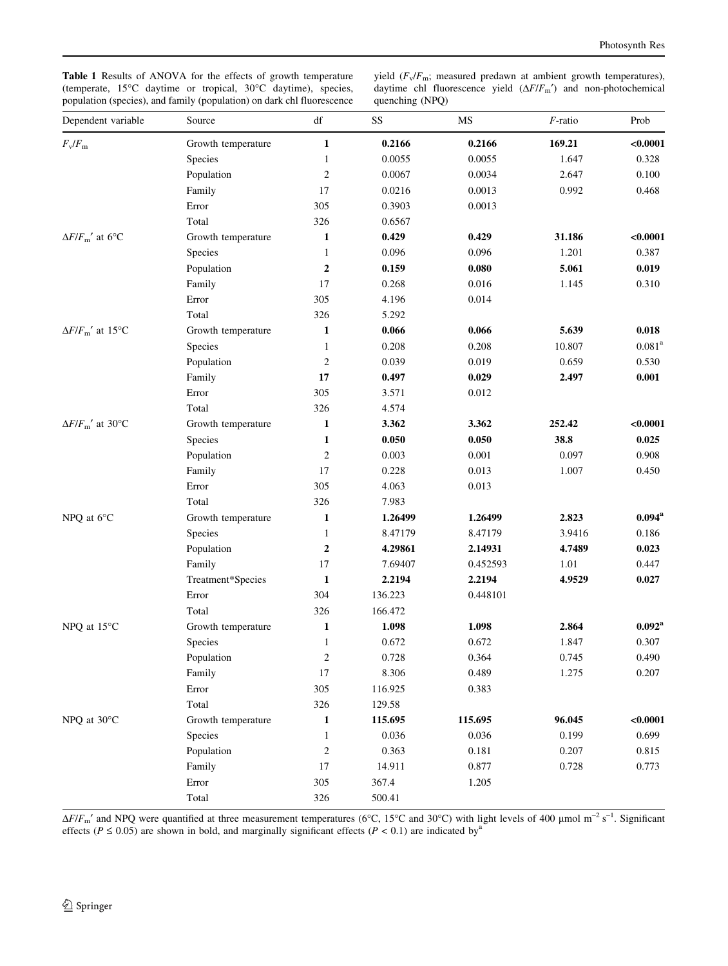<span id="page-7-0"></span>Table 1 Results of ANOVA for the effects of growth temperature (temperate, 15°C daytime or tropical, 30°C daytime), species, population (species), and family (population) on dark chl fluorescence

yield  $(F_v/F_m;$  measured predawn at ambient growth temperatures), daytime chl fluorescence yield  $(\Delta F/F_{\rm m}^{\prime})$  and non-photochemical quenching (NPQ)

| Dependent variable                      | Source             | df               | SS      | MS       | $F$ -ratio | Prob                 |
|-----------------------------------------|--------------------|------------------|---------|----------|------------|----------------------|
| $F_v/F_m$                               | Growth temperature | $\mathbf{1}$     | 0.2166  | 0.2166   | 169.21     | < 0.0001             |
|                                         | Species            | $\mathbf{1}$     | 0.0055  | 0.0055   | 1.647      | 0.328                |
|                                         | Population         | $\overline{c}$   | 0.0067  | 0.0034   | 2.647      | 0.100                |
|                                         | Family             | 17               | 0.0216  | 0.0013   | 0.992      | 0.468                |
|                                         | Error              | 305              | 0.3903  | 0.0013   |            |                      |
|                                         | Total              | 326              | 0.6567  |          |            |                      |
| $\Delta F/F_{\rm m}'$ at 6°C            | Growth temperature | 1                | 0.429   | 0.429    | 31.186     | < 0.0001             |
|                                         | Species            | $\mathbf{1}$     | 0.096   | 0.096    | 1.201      | 0.387                |
|                                         | Population         | $\boldsymbol{2}$ | 0.159   | 0.080    | 5.061      | 0.019                |
|                                         | Family             | 17               | 0.268   | 0.016    | 1.145      | 0.310                |
|                                         | Error              | 305              | 4.196   | 0.014    |            |                      |
|                                         | Total              | 326              | 5.292   |          |            |                      |
| $\Delta F/F$ $\rm _m^{\prime}$ at 15 °C | Growth temperature | 1                | 0.066   | 0.066    | 5.639      | 0.018                |
|                                         | Species            | $\mathbf{1}$     | 0.208   | 0.208    | 10.807     | $0.081^a$            |
|                                         | Population         | $\overline{c}$   | 0.039   | 0.019    | 0.659      | 0.530                |
|                                         | Family             | 17               | 0.497   | 0.029    | 2.497      | 0.001                |
|                                         | Error              | 305              | 3.571   | 0.012    |            |                      |
|                                         | Total              | 326              | 4.574   |          |            |                      |
| $\Delta F/F$ m' at 30°C                 | Growth temperature | 1                | 3.362   | 3.362    | 252.42     | < 0.0001             |
|                                         | Species            | 1                | 0.050   | 0.050    | 38.8       | 0.025                |
|                                         | Population         | $\mathfrak{2}$   | 0.003   | 0.001    | 0.097      | 0.908                |
|                                         | Family             | 17               | 0.228   | 0.013    | 1.007      | 0.450                |
|                                         | Error              | 305              | 4.063   | 0.013    |            |                      |
|                                         | Total              | 326              | 7.983   |          |            |                      |
| NPQ at $6^{\circ}\mathrm{C}$            | Growth temperature | 1                | 1.26499 | 1.26499  | 2.823      | $0.094$ <sup>a</sup> |
|                                         | Species            | $\mathbf{1}$     | 8.47179 | 8.47179  | 3.9416     | 0.186                |
|                                         | Population         | $\boldsymbol{2}$ | 4.29861 | 2.14931  | 4.7489     | 0.023                |
|                                         | Family             | 17               | 7.69407 | 0.452593 | 1.01       | 0.447                |
|                                         | Treatment*Species  | 1                | 2.2194  | 2.2194   | 4.9529     | 0.027                |
|                                         | Error              | 304              | 136.223 | 0.448101 |            |                      |
|                                         | Total              | 326              | 166.472 |          |            |                      |
| NPQ at 15°C                             | Growth temperature | 1                | 1.098   | 1.098    | 2.864      | $0.092^{\rm a}$      |
|                                         | Species            | $\mathbf{1}$     | 0.672   | 0.672    | 1.847      | 0.307                |
|                                         | Population         | $\overline{2}$   | 0.728   | 0.364    | 0.745      | 0.490                |
|                                         | Family             | 17               | 8.306   | 0.489    | 1.275      | 0.207                |
|                                         | Error              | 305              | 116.925 | 0.383    |            |                      |
|                                         | Total              | 326              | 129.58  |          |            |                      |
| NPQ at 30°C                             | Growth temperature | 1                | 115.695 | 115.695  | 96.045     | < 0.0001             |
|                                         | Species            | 1                | 0.036   | 0.036    | 0.199      | 0.699                |
|                                         | Population         | 2                | 0.363   | 0.181    | 0.207      | 0.815                |
|                                         | Family             | 17               | 14.911  | 0.877    | 0.728      | 0.773                |
|                                         | Error              | 305              | 367.4   | 1.205    |            |                      |
|                                         | Total              | 326              | 500.41  |          |            |                      |

 $\Delta F/F_m'$  and NPQ were quantified at three measurement temperatures (6°C, 15°C and 30°C) with light levels of 400 µmol m<sup>-2</sup> s<sup>-1</sup>. Significant effects ( $P \le 0.05$ ) are shown in bold, and marginally significant effects ( $P < 0.1$ ) are indicated by<sup>a</sup>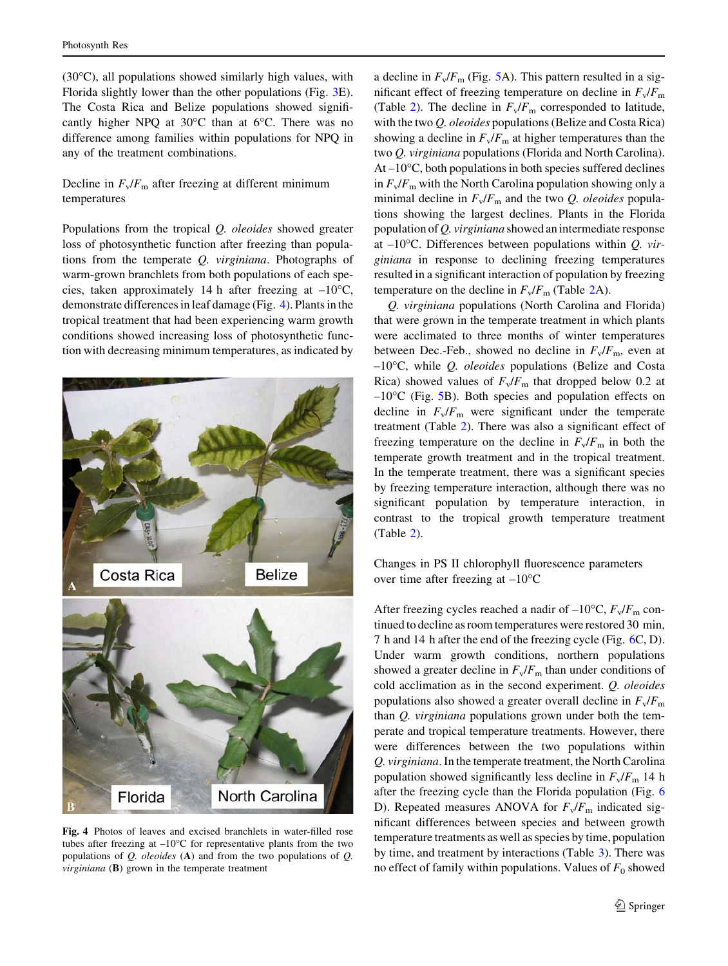(30°C), all populations showed similarly high values, with Florida slightly lower than the other populations (Fig. [3](#page-6-0)E). The Costa Rica and Belize populations showed significantly higher NPQ at  $30^{\circ}$ C than at 6 $^{\circ}$ C. There was no difference among families within populations for NPQ in any of the treatment combinations.

# Decline in  $F_v/F_m$  after freezing at different minimum temperatures

Populations from the tropical Q. oleoides showed greater loss of photosynthetic function after freezing than populations from the temperate Q. virginiana. Photographs of warm-grown branchlets from both populations of each species, taken approximately 14 h after freezing at  $-10^{\circ}$ C, demonstrate differences in leaf damage (Fig. 4). Plants in the tropical treatment that had been experiencing warm growth conditions showed increasing loss of photosynthetic function with decreasing minimum temperatures, as indicated by



Fig. 4 Photos of leaves and excised branchlets in water-filled rose tubes after freezing at  $-10^{\circ}$ C for representative plants from the two populations of  $Q$ . *oleoides* (A) and from the two populations of  $Q$ . *virginiana*  $(B)$  grown in the temperate treatment

a decline in  $F_v/F_m$  (Fig. [5](#page-9-0)A). This pattern resulted in a significant effect of freezing temperature on decline in  $F_v/F_m$ (Table [2\)](#page-9-0). The decline in  $F_v/F_m$  corresponded to latitude, with the two Q. oleoides populations (Belize and Costa Rica) showing a decline in  $F_v/F_m$  at higher temperatures than the two Q. virginiana populations (Florida and North Carolina).  $At-10\degree C$ , both populations in both species suffered declines in  $F_v/F_m$  with the North Carolina population showing only a minimal decline in  $F_v/F_m$  and the two Q. oleoides populations showing the largest declines. Plants in the Florida population of Q. virginiana showed an intermediate response at  $-10^{\circ}$ C. Differences between populations within Q. virginiana in response to declining freezing temperatures resulted in a significant interaction of population by freezing temperature on the decline in  $F_v/F_m$  (Table [2](#page-9-0)A).

Q. virginiana populations (North Carolina and Florida) that were grown in the temperate treatment in which plants were acclimated to three months of winter temperatures between Dec.-Feb., showed no decline in  $F_v/F_m$ , even at  $-10$ °C, while *Q. oleoides* populations (Belize and Costa Rica) showed values of  $F_v/F_m$  that dropped below 0.2 at  $-10\degree$ C (Fig. [5B](#page-9-0)). Both species and population effects on decline in  $F_v/F_m$  were significant under the temperate treatment (Table [2](#page-9-0)). There was also a significant effect of freezing temperature on the decline in  $F_v/F_m$  in both the temperate growth treatment and in the tropical treatment. In the temperate treatment, there was a significant species by freezing temperature interaction, although there was no significant population by temperature interaction, in contrast to the tropical growth temperature treatment (Table [2\)](#page-9-0).

Changes in PS II chlorophyll fluorescence parameters over time after freezing at  $-10^{\circ}$ C

After freezing cycles reached a nadir of  $-10^{\circ}$ C,  $F_v/F_m$  continued to decline as room temperatures were restored 30 min, 7 h and 14 h after the end of the freezing cycle (Fig. [6](#page-10-0)C, D). Under warm growth conditions, northern populations showed a greater decline in  $F_v/F_m$  than under conditions of cold acclimation as in the second experiment. Q. oleoides populations also showed a greater overall decline in  $F_v/F_m$ than Q. virginiana populations grown under both the temperate and tropical temperature treatments. However, there were differences between the two populations within Q. virginiana. In the temperate treatment, the North Carolina population showed significantly less decline in  $F_v/F_m$  14 h after the freezing cycle than the Florida population (Fig. [6](#page-10-0) D). Repeated measures ANOVA for  $F_v/F_m$  indicated significant differences between species and between growth temperature treatments as well as species by time, population by time, and treatment by interactions (Table [3\)](#page-11-0). There was no effect of family within populations. Values of  $F_0$  showed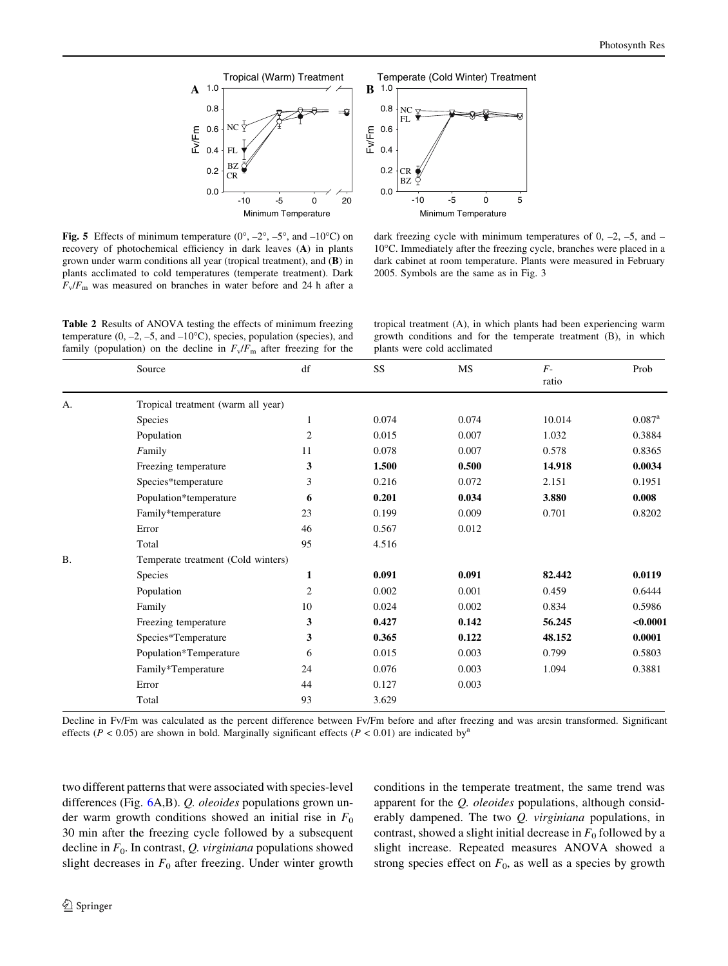<span id="page-9-0"></span>

-10 -5 0 5 E 0.6<br>노<br>L 0.4  $0.0$ 0.2 0.6 0.8 CR BZ NC FL Minimum Temperature

Temperate (Cold Winter) Treatment

Fig. 5 Effects of minimum temperature  $(0^{\circ}, -2^{\circ}, -5^{\circ}, \text{ and } -10^{\circ}\text{C})$  on recovery of photochemical efficiency in dark leaves (A) in plants grown under warm conditions all year (tropical treatment), and (B) in plants acclimated to cold temperatures (temperate treatment). Dark  $F_v/F_m$  was measured on branches in water before and 24 h after a

dark freezing cycle with minimum temperatures of  $0, -2, -5,$  and  $-$ 10°C. Immediately after the freezing cycle, branches were placed in a dark cabinet at room temperature. Plants were measured in February 2005. Symbols are the same as in Fig. 3

Table 2 Results of ANOVA testing the effects of minimum freezing temperature  $(0, -2, -5, \text{ and } -10^{\circ}\text{C})$ , species, population (species), and family (population) on the decline in  $F_v/F_m$  after freezing for the

tropical treatment (A), in which plants had been experiencing warm growth conditions and for the temperate treatment (B), in which plants were cold acclimated

|           | Source                             | df                                 | <b>SS</b> | MS    | $F -$  | Prob                 |  |  |
|-----------|------------------------------------|------------------------------------|-----------|-------|--------|----------------------|--|--|
|           |                                    |                                    |           |       | ratio  |                      |  |  |
| A.        |                                    | Tropical treatment (warm all year) |           |       |        |                      |  |  |
|           | <b>Species</b>                     | 1                                  | 0.074     | 0.074 | 10.014 | $0.087$ <sup>a</sup> |  |  |
|           | Population                         | $\overline{c}$                     | 0.015     | 0.007 | 1.032  | 0.3884               |  |  |
|           | Family                             | 11                                 | 0.078     | 0.007 | 0.578  | 0.8365               |  |  |
|           | Freezing temperature               | 3                                  | 1.500     | 0.500 | 14.918 | 0.0034               |  |  |
|           | Species*temperature                | 3                                  | 0.216     | 0.072 | 2.151  | 0.1951               |  |  |
|           | Population*temperature             | 6                                  | 0.201     | 0.034 | 3.880  | 0.008                |  |  |
|           | Family*temperature                 | 23                                 | 0.199     | 0.009 | 0.701  | 0.8202               |  |  |
|           | Error                              | 46                                 | 0.567     | 0.012 |        |                      |  |  |
|           | Total                              | 95                                 | 4.516     |       |        |                      |  |  |
| <b>B.</b> | Temperate treatment (Cold winters) |                                    |           |       |        |                      |  |  |
|           | <b>Species</b>                     | $\mathbf{1}$                       | 0.091     | 0.091 | 82.442 | 0.0119               |  |  |
|           | Population                         | $\overline{c}$                     | 0.002     | 0.001 | 0.459  | 0.6444               |  |  |
|           | Family                             | 10                                 | 0.024     | 0.002 | 0.834  | 0.5986               |  |  |
|           | Freezing temperature               | 3                                  | 0.427     | 0.142 | 56.245 | < 0.0001             |  |  |
|           | Species*Temperature                | 3                                  | 0.365     | 0.122 | 48.152 | 0.0001               |  |  |
|           | Population*Temperature             | 6                                  | 0.015     | 0.003 | 0.799  | 0.5803               |  |  |
|           | Family*Temperature                 | 24                                 | 0.076     | 0.003 | 1.094  | 0.3881               |  |  |
|           | Error                              | 44                                 | 0.127     | 0.003 |        |                      |  |  |
|           | Total                              | 93                                 | 3.629     |       |        |                      |  |  |

Decline in Fv/Fm was calculated as the percent difference between Fv/Fm before and after freezing and was arcsin transformed. Significant effects ( $P < 0.05$ ) are shown in bold. Marginally significant effects ( $P < 0.01$ ) are indicated by<sup>a</sup>

two different patterns that were associated with species-level differences (Fig. [6A](#page-10-0),B). Q. oleoides populations grown under warm growth conditions showed an initial rise in  $F_0$ 30 min after the freezing cycle followed by a subsequent decline in  $F_0$ . In contrast, Q. virginiana populations showed slight decreases in  $F_0$  after freezing. Under winter growth

conditions in the temperate treatment, the same trend was apparent for the Q. oleoides populations, although considerably dampened. The two Q. virginiana populations, in contrast, showed a slight initial decrease in  $F_0$  followed by a slight increase. Repeated measures ANOVA showed a strong species effect on  $F_0$ , as well as a species by growth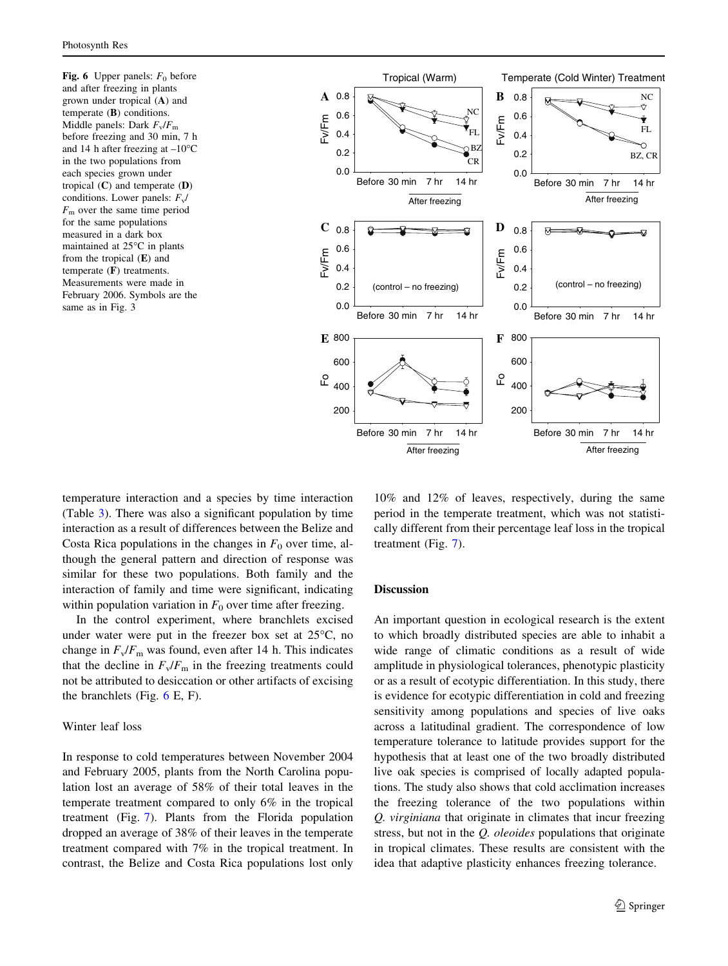<span id="page-10-0"></span>**Fig. 6** Upper panels:  $F_0$  before and after freezing in plants grown under tropical (A) and temperate (B) conditions. Middle panels: Dark  $F_v/F_m$ before freezing and 30 min, 7 h and 14 h after freezing at  $-10^{\circ}$ C in the two populations from each species grown under tropical  $(C)$  and temperate  $(D)$ conditions. Lower panels:  $F_v/$  $F<sub>m</sub>$  over the same time period for the same populations measured in a dark box maintained at  $25^{\circ}$ C in plants from the tropical  $(E)$  and temperate (F) treatments. Measurements were made in February 2006. Symbols are the same as in Fig. 3



temperature interaction and a species by time interaction (Table [3\)](#page-11-0). There was also a significant population by time interaction as a result of differences between the Belize and Costa Rica populations in the changes in  $F_0$  over time, although the general pattern and direction of response was similar for these two populations. Both family and the interaction of family and time were significant, indicating within population variation in  $F_0$  over time after freezing.

In the control experiment, where branchlets excised under water were put in the freezer box set at  $25^{\circ}$ C, no change in  $F_v/F_m$  was found, even after 14 h. This indicates that the decline in  $F_v/F_m$  in the freezing treatments could not be attributed to desiccation or other artifacts of excising the branchlets (Fig. 6 E, F).

## Winter leaf loss

In response to cold temperatures between November 2004 and February 2005, plants from the North Carolina population lost an average of 58% of their total leaves in the temperate treatment compared to only 6% in the tropical treatment (Fig. [7\)](#page-12-0). Plants from the Florida population dropped an average of 38% of their leaves in the temperate treatment compared with 7% in the tropical treatment. In contrast, the Belize and Costa Rica populations lost only

10% and 12% of leaves, respectively, during the same period in the temperate treatment, which was not statistically different from their percentage leaf loss in the tropical treatment (Fig. [7\)](#page-12-0).

## Discussion

An important question in ecological research is the extent to which broadly distributed species are able to inhabit a wide range of climatic conditions as a result of wide amplitude in physiological tolerances, phenotypic plasticity or as a result of ecotypic differentiation. In this study, there is evidence for ecotypic differentiation in cold and freezing sensitivity among populations and species of live oaks across a latitudinal gradient. The correspondence of low temperature tolerance to latitude provides support for the hypothesis that at least one of the two broadly distributed live oak species is comprised of locally adapted populations. The study also shows that cold acclimation increases the freezing tolerance of the two populations within Q. virginiana that originate in climates that incur freezing stress, but not in the Q. oleoides populations that originate in tropical climates. These results are consistent with the idea that adaptive plasticity enhances freezing tolerance.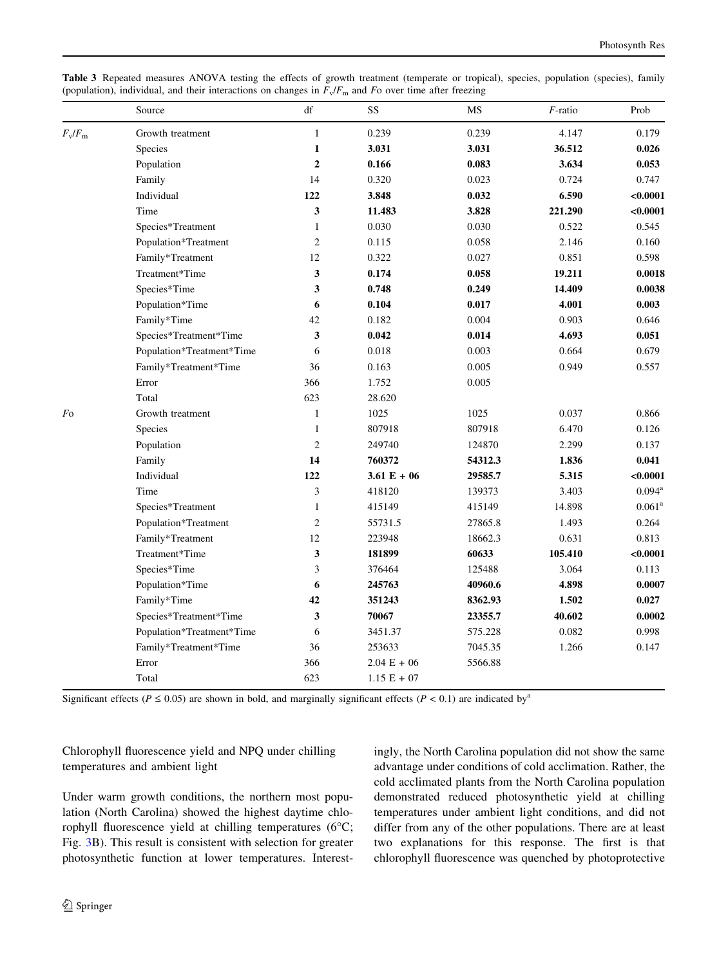<span id="page-11-0"></span>Table 3 Repeated measures ANOVA testing the effects of growth treatment (temperate or tropical), species, population (species), family (population), individual, and their interactions on changes in  $F_v/F_m$  and Fo over time after freezing

|                       | Source                    | df             | SS            | MS      | $F$ -ratio | Prob               |
|-----------------------|---------------------------|----------------|---------------|---------|------------|--------------------|
| $F_{\rm v}/F_{\rm m}$ | Growth treatment          | $\mathbf{1}$   | 0.239         | 0.239   | 4.147      | 0.179              |
|                       | Species                   | $\mathbf{1}$   | 3.031         | 3.031   | 36.512     | 0.026              |
|                       | Population                | $\overline{2}$ | 0.166         | 0.083   | 3.634      | 0.053              |
|                       | Family                    | 14             | 0.320         | 0.023   | 0.724      | 0.747              |
|                       | Individual                | 122            | 3.848         | 0.032   | 6.590      | < 0.0001           |
|                       | Time                      | 3              | 11.483        | 3.828   | 221.290    | < 0.0001           |
|                       | Species*Treatment         | $\mathbf{1}$   | 0.030         | 0.030   | 0.522      | 0.545              |
|                       | Population*Treatment      | $\sqrt{2}$     | 0.115         | 0.058   | 2.146      | 0.160              |
|                       | Family*Treatment          | 12             | 0.322         | 0.027   | 0.851      | 0.598              |
|                       | Treatment*Time            | 3              | 0.174         | 0.058   | 19.211     | 0.0018             |
|                       | Species*Time              | 3              | 0.748         | 0.249   | 14.409     | 0.0038             |
|                       | Population*Time           | 6              | 0.104         | 0.017   | 4.001      | 0.003              |
|                       | Family*Time               | 42             | 0.182         | 0.004   | 0.903      | 0.646              |
|                       | Species*Treatment*Time    | 3              | 0.042         | 0.014   | 4.693      | 0.051              |
|                       | Population*Treatment*Time | 6              | 0.018         | 0.003   | 0.664      | 0.679              |
|                       | Family*Treatment*Time     | 36             | 0.163         | 0.005   | 0.949      | 0.557              |
|                       | Error                     | 366            | 1.752         | 0.005   |            |                    |
|                       | Total                     | 623            | 28.620        |         |            |                    |
| Fo                    | Growth treatment          | $\mathbf{1}$   | 1025          | 1025    | 0.037      | 0.866              |
|                       | Species                   | $\mathbf{1}$   | 807918        | 807918  | 6.470      | 0.126              |
|                       | Population                | $\overline{c}$ | 249740        | 124870  | 2.299      | 0.137              |
|                       | Family                    | 14             | 760372        | 54312.3 | 1.836      | 0.041              |
|                       | Individual                | 122            | $3.61 E + 06$ | 29585.7 | 5.315      | < 0.0001           |
|                       | Time                      | 3              | 418120        | 139373  | 3.403      | $0.094^{\rm a}$    |
|                       | Species*Treatment         | $\mathbf{1}$   | 415149        | 415149  | 14.898     | 0.061 <sup>a</sup> |
|                       | Population*Treatment      | $\overline{c}$ | 55731.5       | 27865.8 | 1.493      | 0.264              |
|                       | Family*Treatment          | 12             | 223948        | 18662.3 | 0.631      | 0.813              |
|                       | Treatment*Time            | 3              | 181899        | 60633   | 105.410    | < 0.0001           |
|                       | Species*Time              | 3              | 376464        | 125488  | 3.064      | 0.113              |
|                       | Population*Time           | 6              | 245763        | 40960.6 | 4.898      | 0.0007             |
|                       | Family*Time               | 42             | 351243        | 8362.93 | 1.502      | 0.027              |
|                       | Species*Treatment*Time    | 3              | 70067         | 23355.7 | 40.602     | 0.0002             |
|                       | Population*Treatment*Time | 6              | 3451.37       | 575.228 | 0.082      | 0.998              |
|                       | Family*Treatment*Time     | 36             | 253633        | 7045.35 | 1.266      | 0.147              |
|                       | Error                     | 366            | $2.04 E + 06$ | 5566.88 |            |                    |
|                       | Total                     | 623            | $1.15 E + 07$ |         |            |                    |

Significant effects ( $P \le 0.05$ ) are shown in bold, and marginally significant effects ( $P < 0.1$ ) are indicated by<sup>a</sup>

Chlorophyll fluorescence yield and NPQ under chilling temperatures and ambient light

Under warm growth conditions, the northern most population (North Carolina) showed the highest daytime chlorophyll fluorescence yield at chilling temperatures (6°C; Fig. [3](#page-6-0)B). This result is consistent with selection for greater photosynthetic function at lower temperatures. Interestingly, the North Carolina population did not show the same advantage under conditions of cold acclimation. Rather, the cold acclimated plants from the North Carolina population demonstrated reduced photosynthetic yield at chilling temperatures under ambient light conditions, and did not differ from any of the other populations. There are at least two explanations for this response. The first is that chlorophyll fluorescence was quenched by photoprotective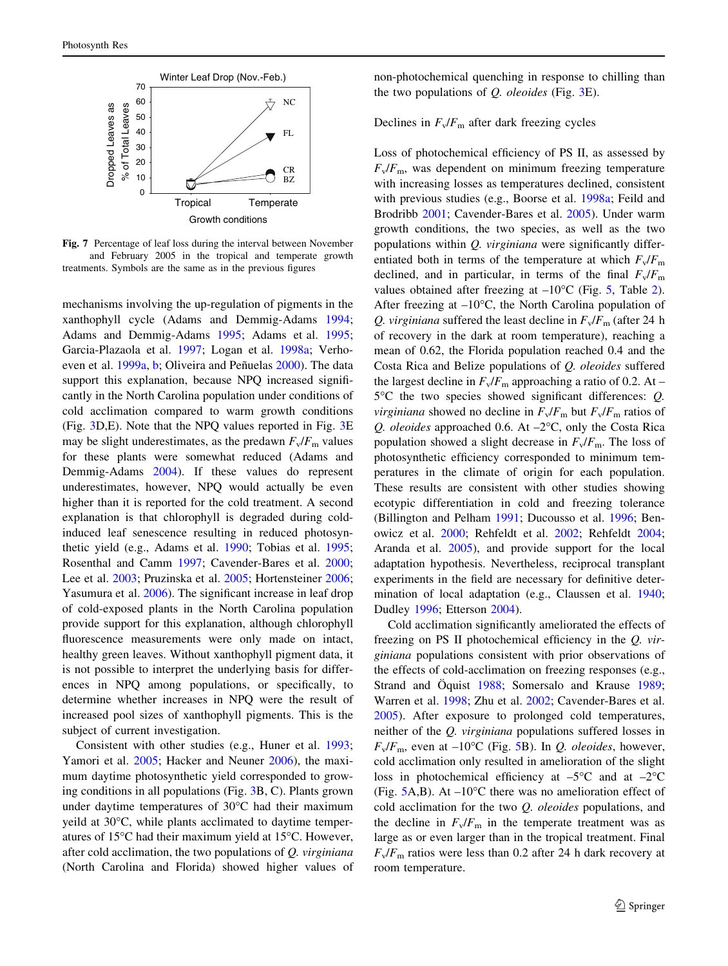<span id="page-12-0"></span>

Fig. 7 Percentage of leaf loss during the interval between November 2004 and February 2005 in the tropical and temperate growth treatments. Symbols are the same as in the previous figures

mechanisms involving the up-regulation of pigments in the xanthophyll cycle (Adams and Demmig-Adams [1994](#page-14-0); Adams and Demmig-Adams [1995;](#page-14-0) Adams et al. [1995](#page-14-0); Garcia-Plazaola et al. [1997](#page-15-0); Logan et al. [1998a](#page-15-0); Verho-even et al. [1999a,](#page-16-0) [b;](#page-16-0) Oliveira and Peñuelas [2000\)](#page-16-0). The data support this explanation, because NPQ increased significantly in the North Carolina population under conditions of cold acclimation compared to warm growth conditions (Fig. [3](#page-6-0)D,E). Note that the NPQ values reported in Fig. [3](#page-6-0)E may be slight underestimates, as the predawn  $F_v/F_m$  values for these plants were somewhat reduced (Adams and Demmig-Adams [2004](#page-14-0)). If these values do represent underestimates, however, NPQ would actually be even higher than it is reported for the cold treatment. A second explanation is that chlorophyll is degraded during coldinduced leaf senescence resulting in reduced photosynthetic yield (e.g., Adams et al. [1990](#page-14-0); Tobias et al. [1995](#page-16-0); Rosenthal and Camm [1997](#page-16-0); Cavender-Bares et al. [2000](#page-15-0); Lee et al. [2003](#page-15-0); Pruzinska et al. [2005](#page-16-0); Hortensteiner [2006](#page-15-0); Yasumura et al. [2006](#page-16-0)). The significant increase in leaf drop of cold-exposed plants in the North Carolina population provide support for this explanation, although chlorophyll fluorescence measurements were only made on intact, healthy green leaves. Without xanthophyll pigment data, it is not possible to interpret the underlying basis for differences in NPQ among populations, or specifically, to determine whether increases in NPQ were the result of increased pool sizes of xanthophyll pigments. This is the subject of current investigation.

Consistent with other studies (e.g., Huner et al. [1993](#page-15-0); Yamori et al. [2005](#page-16-0); Hacker and Neuner [2006](#page-15-0)), the maximum daytime photosynthetic yield corresponded to growing conditions in all populations (Fig. [3B](#page-6-0), C). Plants grown under daytime temperatures of  $30^{\circ}$ C had their maximum yeild at 30°C, while plants acclimated to daytime temperatures of  $15^{\circ}$ C had their maximum yield at  $15^{\circ}$ C. However, after cold acclimation, the two populations of  $Q$ . virginiana (North Carolina and Florida) showed higher values of non-photochemical quenching in response to chilling than the two populations of  $Q$ . *oleoides* (Fig. [3E](#page-6-0)).

Declines in  $F_v/F_m$  after dark freezing cycles

Loss of photochemical efficiency of PS II, as assessed by  $F_v/F_m$ , was dependent on minimum freezing temperature with increasing losses as temperatures declined, consistent with previous studies (e.g., Boorse et al. [1998a;](#page-14-0) Feild and Brodribb [2001;](#page-15-0) Cavender-Bares et al. [2005\)](#page-15-0). Under warm growth conditions, the two species, as well as the two populations within Q. virginiana were significantly differentiated both in terms of the temperature at which  $F_v/F_m$ declined, and in particular, in terms of the final  $F_v/F_m$ values obtained after freezing at  $-10^{\circ}$ C (Fig. [5,](#page-9-0) Table [2](#page-9-0)). After freezing at  $-10$ °C, the North Carolina population of Q. virginiana suffered the least decline in  $F_v/F_m$  (after 24 h of recovery in the dark at room temperature), reaching a mean of 0.62, the Florida population reached 0.4 and the Costa Rica and Belize populations of Q. oleoides suffered the largest decline in  $F_v/F_m$  approaching a ratio of 0.2. At – 5°C the two species showed significant differences: Q. *virginiana* showed no decline in  $F_v/F_m$  but  $F_v/F_m$  ratios of Q. oleoides approached 0.6. At  $-2^{\circ}C$ , only the Costa Rica population showed a slight decrease in  $F_v/F_m$ . The loss of photosynthetic efficiency corresponded to minimum temperatures in the climate of origin for each population. These results are consistent with other studies showing ecotypic differentiation in cold and freezing tolerance (Billington and Pelham [1991](#page-14-0); Ducousso et al. [1996](#page-15-0); Benowicz et al. [2000;](#page-14-0) Rehfeldt et al. [2002;](#page-16-0) Rehfeldt [2004](#page-16-0); Aranda et al. [2005\)](#page-14-0), and provide support for the local adaptation hypothesis. Nevertheless, reciprocal transplant experiments in the field are necessary for definitive determination of local adaptation (e.g., Claussen et al. [1940](#page-15-0); Dudley [1996;](#page-15-0) Etterson [2004\)](#page-15-0).

Cold acclimation significantly ameliorated the effects of freezing on PS II photochemical efficiency in the  $Q$ . virginiana populations consistent with prior observations of the effects of cold-acclimation on freezing responses (e.g., Strand and Öquist [1988;](#page-16-0) Somersalo and Krause [1989](#page-16-0); Warren et al. [1998](#page-16-0); Zhu et al. [2002;](#page-16-0) Cavender-Bares et al. [2005](#page-15-0)). After exposure to prolonged cold temperatures, neither of the Q. virginiana populations suffered losses in  $F_v/F_m$ , even at  $-10^{\circ}\text{C}$  (Fig. [5B](#page-9-0)). In *Q. oleoides*, however, cold acclimation only resulted in amelioration of the slight loss in photochemical efficiency at  $-5^{\circ}$ C and at  $-2^{\circ}$ C (Fig.  $5A,B$  $5A,B$ ). At  $-10^{\circ}$ C there was no amelioration effect of cold acclimation for the two Q. oleoides populations, and the decline in  $F_v/F_m$  in the temperate treatment was as large as or even larger than in the tropical treatment. Final  $F_v/F_m$  ratios were less than 0.2 after 24 h dark recovery at room temperature.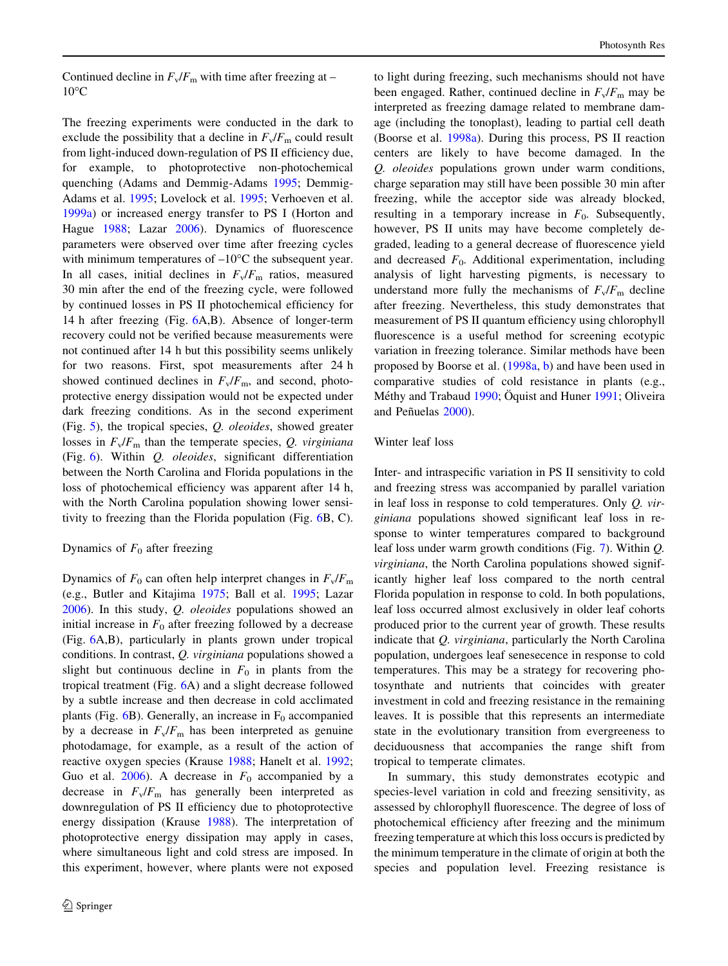Continued decline in  $F_v/F_m$  with time after freezing at –  $10^{\circ}$ C

The freezing experiments were conducted in the dark to exclude the possibility that a decline in  $F_v/F_m$  could result from light-induced down-regulation of PS II efficiency due, for example, to photoprotective non-photochemical quenching (Adams and Demmig-Adams [1995](#page-14-0); Demmig-Adams et al. [1995;](#page-15-0) Lovelock et al. 1995; Verhoeven et al. [1999a](#page-16-0)) or increased energy transfer to PS I (Horton and Hague [1988](#page-15-0); Lazar [2006\)](#page-15-0). Dynamics of fluorescence parameters were observed over time after freezing cycles with minimum temperatures of  $-10^{\circ}$ C the subsequent year. In all cases, initial declines in  $F_v/F_m$  ratios, measured 30 min after the end of the freezing cycle, were followed by continued losses in PS II photochemical efficiency for 14 h after freezing (Fig. [6](#page-10-0)A,B). Absence of longer-term recovery could not be verified because measurements were not continued after 14 h but this possibility seems unlikely for two reasons. First, spot measurements after 24 h showed continued declines in  $F_v/F_m$ , and second, photoprotective energy dissipation would not be expected under dark freezing conditions. As in the second experiment (Fig. [5](#page-9-0)), the tropical species, Q. oleoides, showed greater losses in  $F_v/F_m$  than the temperate species, Q. virginiana (Fig. [6](#page-10-0)). Within Q. oleoides, significant differentiation between the North Carolina and Florida populations in the loss of photochemical efficiency was apparent after 14 h, with the North Carolina population showing lower sensitivity to freezing than the Florida population (Fig. [6](#page-10-0)B, C).

# Dynamics of  $F_0$  after freezing

Dynamics of  $F_0$  can often help interpret changes in  $F_v/F_m$ (e.g., Butler and Kitajima [1975;](#page-14-0) Ball et al. [1995;](#page-14-0) Lazar  $2006$ ). In this study,  $Q$ . *oleoides* populations showed an initial increase in  $F_0$  after freezing followed by a decrease (Fig. [6](#page-10-0)A,B), particularly in plants grown under tropical conditions. In contrast, Q. virginiana populations showed a slight but continuous decline in  $F_0$  in plants from the tropical treatment (Fig. [6A](#page-10-0)) and a slight decrease followed by a subtle increase and then decrease in cold acclimated plants (Fig.  $6B$  $6B$ ). Generally, an increase in  $F_0$  accompanied by a decrease in  $F_v/F_m$  has been interpreted as genuine photodamage, for example, as a result of the action of reactive oxygen species (Krause [1988](#page-15-0); Hanelt et al. [1992](#page-15-0); Guo et al.  $2006$ ). A decrease in  $F_0$  accompanied by a decrease in  $F_v/F_m$  has generally been interpreted as downregulation of PS II efficiency due to photoprotective energy dissipation (Krause [1988](#page-15-0)). The interpretation of photoprotective energy dissipation may apply in cases, where simultaneous light and cold stress are imposed. In this experiment, however, where plants were not exposed to light during freezing, such mechanisms should not have been engaged. Rather, continued decline in  $F_v/F_m$  may be interpreted as freezing damage related to membrane damage (including the tonoplast), leading to partial cell death (Boorse et al. [1998a](#page-14-0)). During this process, PS II reaction centers are likely to have become damaged. In the Q. oleoides populations grown under warm conditions, charge separation may still have been possible 30 min after freezing, while the acceptor side was already blocked, resulting in a temporary increase in  $F_0$ . Subsequently, however, PS II units may have become completely degraded, leading to a general decrease of fluorescence yield and decreased  $F_0$ . Additional experimentation, including analysis of light harvesting pigments, is necessary to understand more fully the mechanisms of  $F_v/F_m$  decline after freezing. Nevertheless, this study demonstrates that measurement of PS II quantum efficiency using chlorophyll fluorescence is a useful method for screening ecotypic variation in freezing tolerance. Similar methods have been proposed by Boorse et al. [\(1998a](#page-14-0), [b\)](#page-14-0) and have been used in comparative studies of cold resistance in plants (e.g., Méthy and Trabaud [1990](#page-16-0); Öquist and Huner [1991](#page-16-0); Oliveira and Peñuelas [2000\)](#page-16-0).

## Winter leaf loss

Inter- and intraspecific variation in PS II sensitivity to cold and freezing stress was accompanied by parallel variation in leaf loss in response to cold temperatures. Only Q. virginiana populations showed significant leaf loss in response to winter temperatures compared to background leaf loss under warm growth conditions (Fig. [7\)](#page-12-0). Within Q. virginiana, the North Carolina populations showed significantly higher leaf loss compared to the north central Florida population in response to cold. In both populations, leaf loss occurred almost exclusively in older leaf cohorts produced prior to the current year of growth. These results indicate that Q. virginiana, particularly the North Carolina population, undergoes leaf senesecence in response to cold temperatures. This may be a strategy for recovering photosynthate and nutrients that coincides with greater investment in cold and freezing resistance in the remaining leaves. It is possible that this represents an intermediate state in the evolutionary transition from evergreeness to deciduousness that accompanies the range shift from tropical to temperate climates.

In summary, this study demonstrates ecotypic and species-level variation in cold and freezing sensitivity, as assessed by chlorophyll fluorescence. The degree of loss of photochemical efficiency after freezing and the minimum freezing temperature at which this loss occurs is predicted by the minimum temperature in the climate of origin at both the species and population level. Freezing resistance is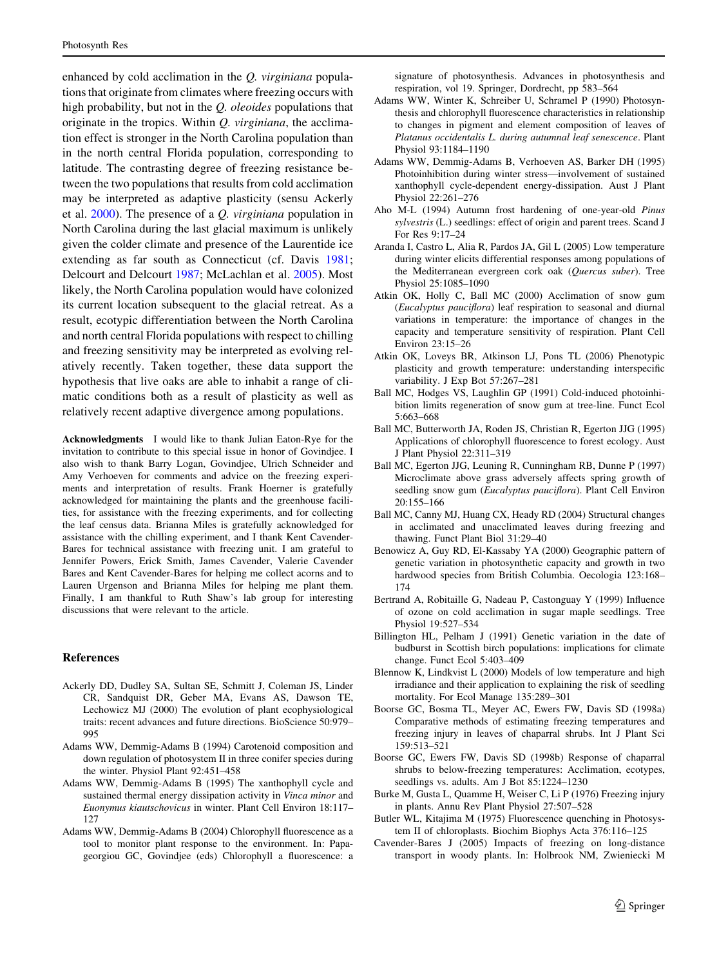<span id="page-14-0"></span>enhanced by cold acclimation in the *O. virginiana* populations that originate from climates where freezing occurs with high probability, but not in the Q. *oleoides* populations that originate in the tropics. Within Q. virginiana, the acclimation effect is stronger in the North Carolina population than in the north central Florida population, corresponding to latitude. The contrasting degree of freezing resistance between the two populations that results from cold acclimation may be interpreted as adaptive plasticity (sensu Ackerly et al. 2000). The presence of a Q. virginiana population in North Carolina during the last glacial maximum is unlikely given the colder climate and presence of the Laurentide ice extending as far south as Connecticut (cf. Davis [1981](#page-15-0); Delcourt and Delcourt [1987](#page-15-0); McLachlan et al. [2005](#page-16-0)). Most likely, the North Carolina population would have colonized its current location subsequent to the glacial retreat. As a result, ecotypic differentiation between the North Carolina and north central Florida populations with respect to chilling and freezing sensitivity may be interpreted as evolving relatively recently. Taken together, these data support the hypothesis that live oaks are able to inhabit a range of climatic conditions both as a result of plasticity as well as relatively recent adaptive divergence among populations.

Acknowledgments I would like to thank Julian Eaton-Rye for the invitation to contribute to this special issue in honor of Govindjee. I also wish to thank Barry Logan, Govindjee, Ulrich Schneider and Amy Verhoeven for comments and advice on the freezing experiments and interpretation of results. Frank Hoerner is gratefully acknowledged for maintaining the plants and the greenhouse facilities, for assistance with the freezing experiments, and for collecting the leaf census data. Brianna Miles is gratefully acknowledged for assistance with the chilling experiment, and I thank Kent Cavender-Bares for technical assistance with freezing unit. I am grateful to Jennifer Powers, Erick Smith, James Cavender, Valerie Cavender Bares and Kent Cavender-Bares for helping me collect acorns and to Lauren Urgenson and Brianna Miles for helping me plant them. Finally, I am thankful to Ruth Shaw's lab group for interesting discussions that were relevant to the article.

## References

- Ackerly DD, Dudley SA, Sultan SE, Schmitt J, Coleman JS, Linder CR, Sandquist DR, Geber MA, Evans AS, Dawson TE, Lechowicz MJ (2000) The evolution of plant ecophysiological traits: recent advances and future directions. BioScience 50:979– 995
- Adams WW, Demmig-Adams B (1994) Carotenoid composition and down regulation of photosystem II in three conifer species during the winter. Physiol Plant 92:451–458
- Adams WW, Demmig-Adams B (1995) The xanthophyll cycle and sustained thermal energy dissipation activity in Vinca minor and Euonymus kiautschovicus in winter. Plant Cell Environ 18:117– 127
- Adams WW, Demmig-Adams B (2004) Chlorophyll fluorescence as a tool to monitor plant response to the environment. In: Papageorgiou GC, Govindjee (eds) Chlorophyll a fluorescence: a

signature of photosynthesis. Advances in photosynthesis and respiration, vol 19. Springer, Dordrecht, pp 583–564

- Adams WW, Winter K, Schreiber U, Schramel P (1990) Photosynthesis and chlorophyll fluorescence characteristics in relationship to changes in pigment and element composition of leaves of Platanus occidentalis L. during autumnal leaf senescence. Plant Physiol 93:1184–1190
- Adams WW, Demmig-Adams B, Verhoeven AS, Barker DH (1995) Photoinhibition during winter stress—involvement of sustained xanthophyll cycle-dependent energy-dissipation. Aust J Plant Physiol 22:261–276
- Aho M-L (1994) Autumn frost hardening of one-year-old Pinus sylvestris (L.) seedlings: effect of origin and parent trees. Scand J For Res 9:17–24
- Aranda I, Castro L, Alia R, Pardos JA, Gil L (2005) Low temperature during winter elicits differential responses among populations of the Mediterranean evergreen cork oak (Quercus suber). Tree Physiol 25:1085–1090
- Atkin OK, Holly C, Ball MC (2000) Acclimation of snow gum (Eucalyptus pauciflora) leaf respiration to seasonal and diurnal variations in temperature: the importance of changes in the capacity and temperature sensitivity of respiration. Plant Cell Environ 23:15–26
- Atkin OK, Loveys BR, Atkinson LJ, Pons TL (2006) Phenotypic plasticity and growth temperature: understanding interspecific variability. J Exp Bot 57:267–281
- Ball MC, Hodges VS, Laughlin GP (1991) Cold-induced photoinhibition limits regeneration of snow gum at tree-line. Funct Ecol 5:663–668
- Ball MC, Butterworth JA, Roden JS, Christian R, Egerton JJG (1995) Applications of chlorophyll fluorescence to forest ecology. Aust J Plant Physiol 22:311–319
- Ball MC, Egerton JJG, Leuning R, Cunningham RB, Dunne P (1997) Microclimate above grass adversely affects spring growth of seedling snow gum (Eucalyptus pauciflora). Plant Cell Environ 20:155–166
- Ball MC, Canny MJ, Huang CX, Heady RD (2004) Structural changes in acclimated and unacclimated leaves during freezing and thawing. Funct Plant Biol 31:29–40
- Benowicz A, Guy RD, El-Kassaby YA (2000) Geographic pattern of genetic variation in photosynthetic capacity and growth in two hardwood species from British Columbia. Oecologia 123:168– 174
- Bertrand A, Robitaille G, Nadeau P, Castonguay Y (1999) Influence of ozone on cold acclimation in sugar maple seedlings. Tree Physiol 19:527–534
- Billington HL, Pelham J (1991) Genetic variation in the date of budburst in Scottish birch populations: implications for climate change. Funct Ecol 5:403–409
- Blennow K, Lindkvist L (2000) Models of low temperature and high irradiance and their application to explaining the risk of seedling mortality. For Ecol Manage 135:289–301
- Boorse GC, Bosma TL, Meyer AC, Ewers FW, Davis SD (1998a) Comparative methods of estimating freezing temperatures and freezing injury in leaves of chaparral shrubs. Int J Plant Sci 159:513–521
- Boorse GC, Ewers FW, Davis SD (1998b) Response of chaparral shrubs to below-freezing temperatures: Acclimation, ecotypes, seedlings vs. adults. Am J Bot 85:1224–1230
- Burke M, Gusta L, Quamme H, Weiser C, Li P (1976) Freezing injury in plants. Annu Rev Plant Physiol 27:507–528
- Butler WL, Kitajima M (1975) Fluorescence quenching in Photosystem II of chloroplasts. Biochim Biophys Acta 376:116–125
- Cavender-Bares J (2005) Impacts of freezing on long-distance transport in woody plants. In: Holbrook NM, Zwieniecki M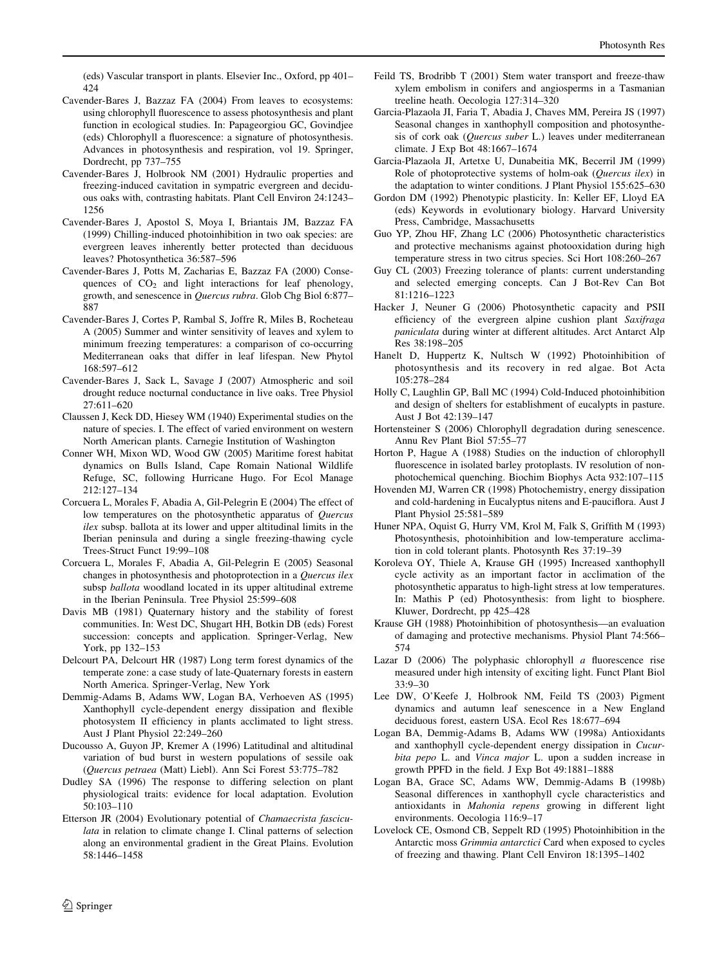<span id="page-15-0"></span>(eds) Vascular transport in plants. Elsevier Inc., Oxford, pp 401– 424

- Cavender-Bares J, Bazzaz FA (2004) From leaves to ecosystems: using chlorophyll fluorescence to assess photosynthesis and plant function in ecological studies. In: Papageorgiou GC, Govindjee (eds) Chlorophyll a fluorescence: a signature of photosynthesis. Advances in photosynthesis and respiration, vol 19. Springer, Dordrecht, pp 737–755
- Cavender-Bares J, Holbrook NM (2001) Hydraulic properties and freezing-induced cavitation in sympatric evergreen and deciduous oaks with, contrasting habitats. Plant Cell Environ 24:1243– 1256
- Cavender-Bares J, Apostol S, Moya I, Briantais JM, Bazzaz FA (1999) Chilling-induced photoinhibition in two oak species: are evergreen leaves inherently better protected than deciduous leaves? Photosynthetica 36:587–596
- Cavender-Bares J, Potts M, Zacharias E, Bazzaz FA (2000) Consequences of  $CO<sub>2</sub>$  and light interactions for leaf phenology, growth, and senescence in Quercus rubra. Glob Chg Biol 6:877– 887
- Cavender-Bares J, Cortes P, Rambal S, Joffre R, Miles B, Rocheteau A (2005) Summer and winter sensitivity of leaves and xylem to minimum freezing temperatures: a comparison of co-occurring Mediterranean oaks that differ in leaf lifespan. New Phytol 168:597–612
- Cavender-Bares J, Sack L, Savage J (2007) Atmospheric and soil drought reduce nocturnal conductance in live oaks. Tree Physiol 27:611–620
- Claussen J, Keck DD, Hiesey WM (1940) Experimental studies on the nature of species. I. The effect of varied environment on western North American plants. Carnegie Institution of Washington
- Conner WH, Mixon WD, Wood GW (2005) Maritime forest habitat dynamics on Bulls Island, Cape Romain National Wildlife Refuge, SC, following Hurricane Hugo. For Ecol Manage 212:127–134
- Corcuera L, Morales F, Abadia A, Gil-Pelegrin E (2004) The effect of low temperatures on the photosynthetic apparatus of Quercus ilex subsp. ballota at its lower and upper altitudinal limits in the Iberian peninsula and during a single freezing-thawing cycle Trees-Struct Funct 19:99–108
- Corcuera L, Morales F, Abadia A, Gil-Pelegrin E (2005) Seasonal changes in photosynthesis and photoprotection in a Quercus ilex subsp ballota woodland located in its upper altitudinal extreme in the Iberian Peninsula. Tree Physiol 25:599–608
- Davis MB (1981) Quaternary history and the stability of forest communities. In: West DC, Shugart HH, Botkin DB (eds) Forest succession: concepts and application. Springer-Verlag, New York, pp 132–153
- Delcourt PA, Delcourt HR (1987) Long term forest dynamics of the temperate zone: a case study of late-Quaternary forests in eastern North America. Springer-Verlag, New York
- Demmig-Adams B, Adams WW, Logan BA, Verhoeven AS (1995) Xanthophyll cycle-dependent energy dissipation and flexible photosystem II efficiency in plants acclimated to light stress. Aust J Plant Physiol 22:249–260
- Ducousso A, Guyon JP, Kremer A (1996) Latitudinal and altitudinal variation of bud burst in western populations of sessile oak (Quercus petraea (Matt) Liebl). Ann Sci Forest 53:775–782
- Dudley SA (1996) The response to differing selection on plant physiological traits: evidence for local adaptation. Evolution 50:103–110
- Etterson JR (2004) Evolutionary potential of Chamaecrista fasciculata in relation to climate change I. Clinal patterns of selection along an environmental gradient in the Great Plains. Evolution 58:1446–1458
- Feild TS, Brodribb T (2001) Stem water transport and freeze-thaw xylem embolism in conifers and angiosperms in a Tasmanian treeline heath. Oecologia 127:314–320
- Garcia-Plazaola JI, Faria T, Abadia J, Chaves MM, Pereira JS (1997) Seasonal changes in xanthophyll composition and photosynthesis of cork oak (Quercus suber L.) leaves under mediterranean climate. J Exp Bot 48:1667–1674
- Garcia-Plazaola JI, Artetxe U, Dunabeitia MK, Becerril JM (1999) Role of photoprotective systems of holm-oak (Quercus ilex) in the adaptation to winter conditions. J Plant Physiol 155:625–630
- Gordon DM (1992) Phenotypic plasticity. In: Keller EF, Lloyd EA (eds) Keywords in evolutionary biology. Harvard University Press, Cambridge, Massachusetts
- Guo YP, Zhou HF, Zhang LC (2006) Photosynthetic characteristics and protective mechanisms against photooxidation during high temperature stress in two citrus species. Sci Hort 108:260–267
- Guy CL (2003) Freezing tolerance of plants: current understanding and selected emerging concepts. Can J Bot-Rev Can Bot 81:1216–1223
- Hacker J, Neuner G (2006) Photosynthetic capacity and PSII efficiency of the evergreen alpine cushion plant Saxifraga paniculata during winter at different altitudes. Arct Antarct Alp Res 38:198–205
- Hanelt D, Huppertz K, Nultsch W (1992) Photoinhibition of photosynthesis and its recovery in red algae. Bot Acta 105:278–284
- Holly C, Laughlin GP, Ball MC (1994) Cold-Induced photoinhibition and design of shelters for establishment of eucalypts in pasture. Aust J Bot 42:139–147
- Hortensteiner S (2006) Chlorophyll degradation during senescence. Annu Rev Plant Biol 57:55–77
- Horton P, Hague A (1988) Studies on the induction of chlorophyll fluorescence in isolated barley protoplasts. IV resolution of nonphotochemical quenching. Biochim Biophys Acta 932:107–115
- Hovenden MJ, Warren CR (1998) Photochemistry, energy dissipation and cold-hardening in Eucalyptus nitens and E-pauciflora. Aust J Plant Physiol 25:581–589
- Huner NPA, Oquist G, Hurry VM, Krol M, Falk S, Griffith M (1993) Photosynthesis, photoinhibition and low-temperature acclimation in cold tolerant plants. Photosynth Res 37:19–39
- Koroleva OY, Thiele A, Krause GH (1995) Increased xanthophyll cycle activity as an important factor in acclimation of the photosynthetic apparatus to high-light stress at low temperatures. In: Mathis P (ed) Photosynthesis: from light to biosphere. Kluwer, Dordrecht, pp 425–428
- Krause GH (1988) Photoinhibition of photosynthesis—an evaluation of damaging and protective mechanisms. Physiol Plant 74:566– 574
- Lazar D (2006) The polyphasic chlorophyll  $a$  fluorescence rise measured under high intensity of exciting light. Funct Plant Biol 33:9–30
- Lee DW, O'Keefe J, Holbrook NM, Feild TS (2003) Pigment dynamics and autumn leaf senescence in a New England deciduous forest, eastern USA. Ecol Res 18:677–694
- Logan BA, Demmig-Adams B, Adams WW (1998a) Antioxidants and xanthophyll cycle-dependent energy dissipation in Cucurbita pepo L. and Vinca major L. upon a sudden increase in growth PPFD in the field. J Exp Bot 49:1881–1888
- Logan BA, Grace SC, Adams WW, Demmig-Adams B (1998b) Seasonal differences in xanthophyll cycle characteristics and antioxidants in Mahonia repens growing in different light environments. Oecologia 116:9–17
- Lovelock CE, Osmond CB, Seppelt RD (1995) Photoinhibition in the Antarctic moss Grimmia antarctici Card when exposed to cycles of freezing and thawing. Plant Cell Environ 18:1395–1402